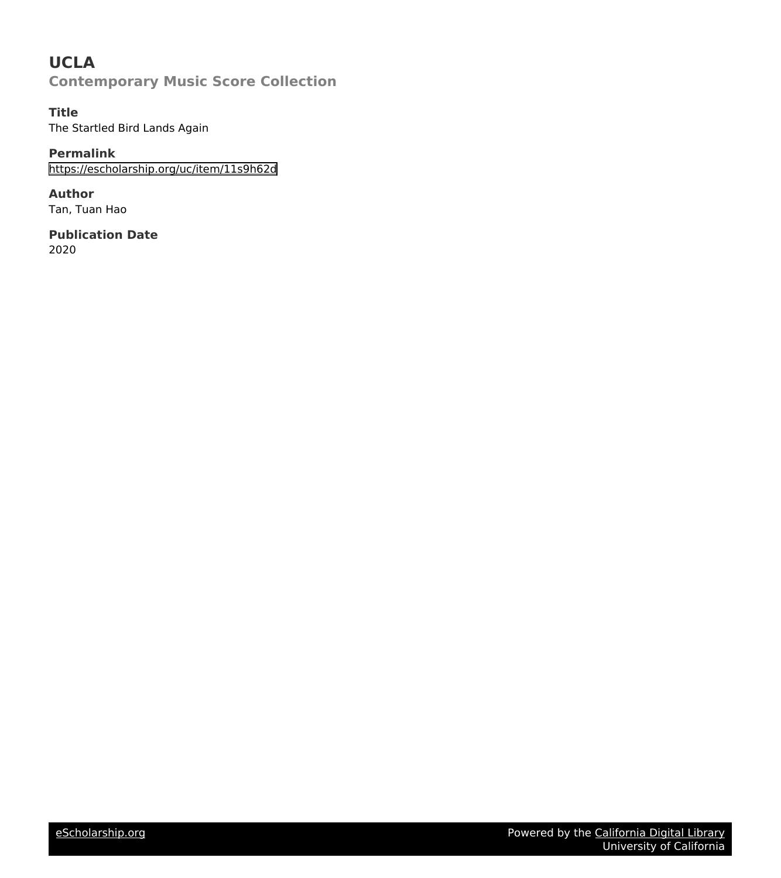## **UCLA**

### **Contemporary Music Score Collection**

#### **Title**

The Startled Bird Lands Again

#### **Permalink**

<https://escholarship.org/uc/item/11s9h62d>

#### **Author**

Tan, Tuan Hao

#### **Publication Date** 2020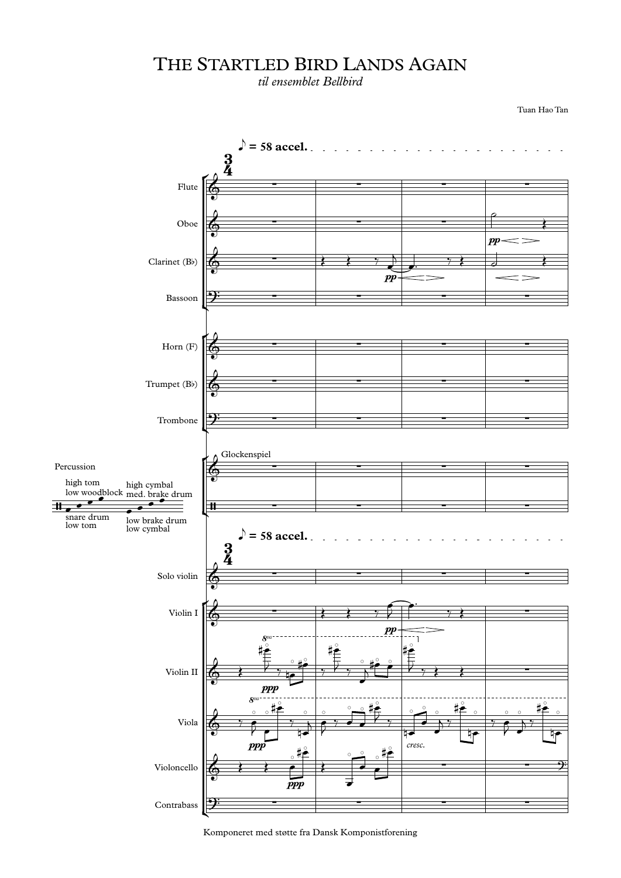Komponeret med støtte fra Dansk Komponistforening



# THE STARTLED BIRD LANDS AGAIN

*til ensemblet Bellbird*

Tuan Hao Tan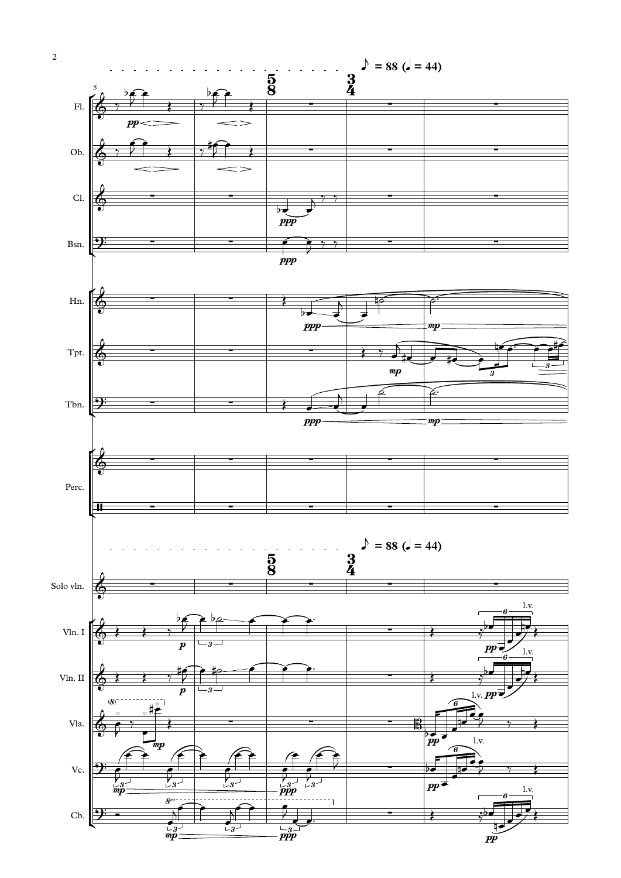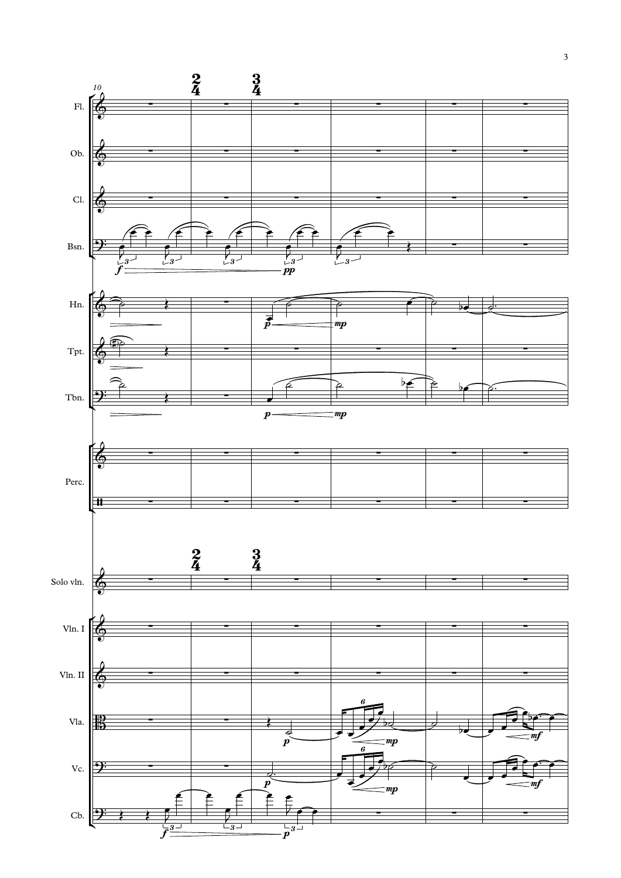

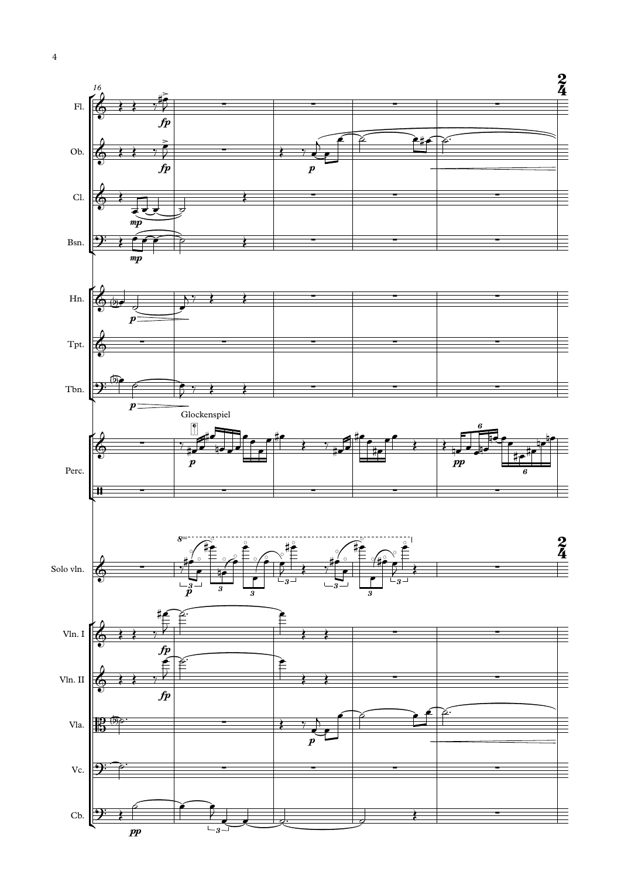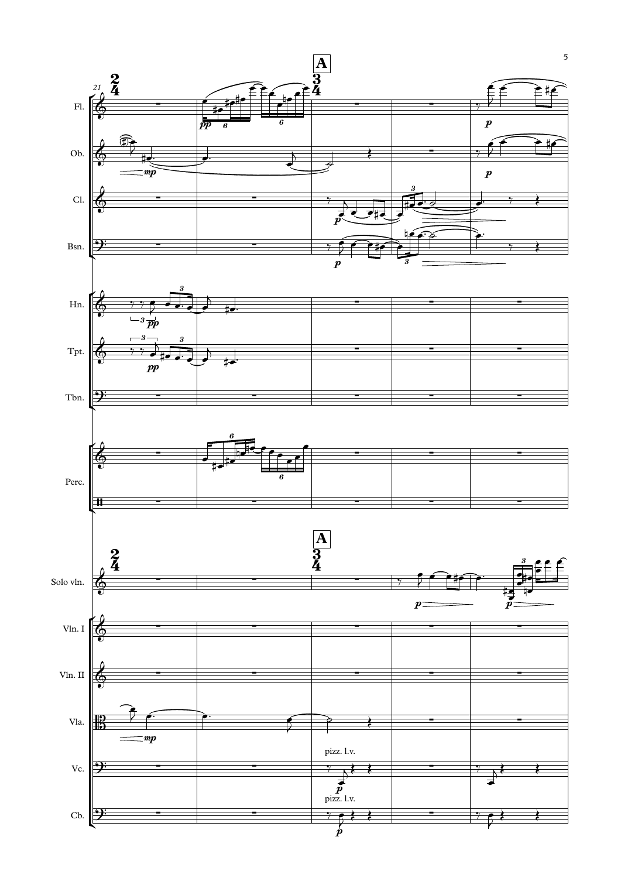

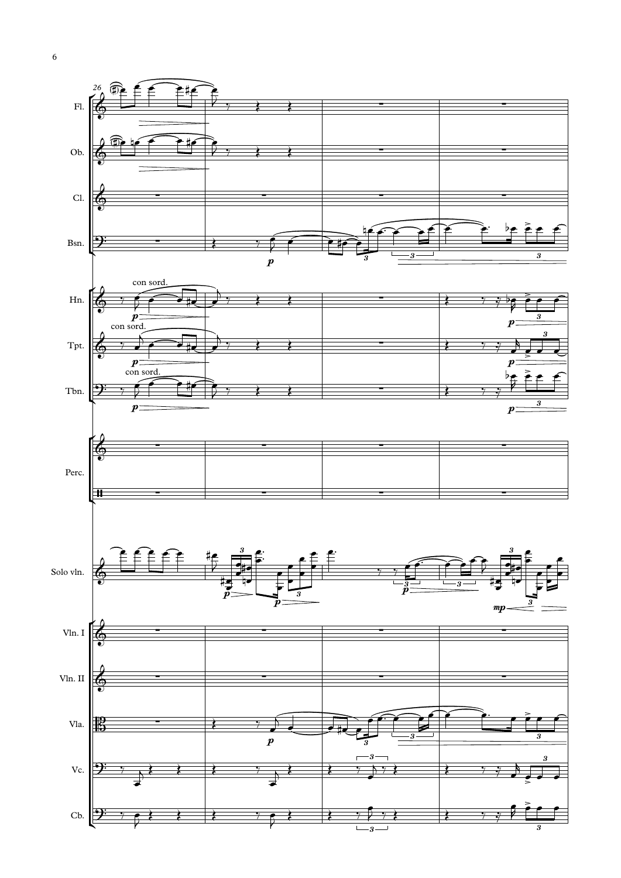

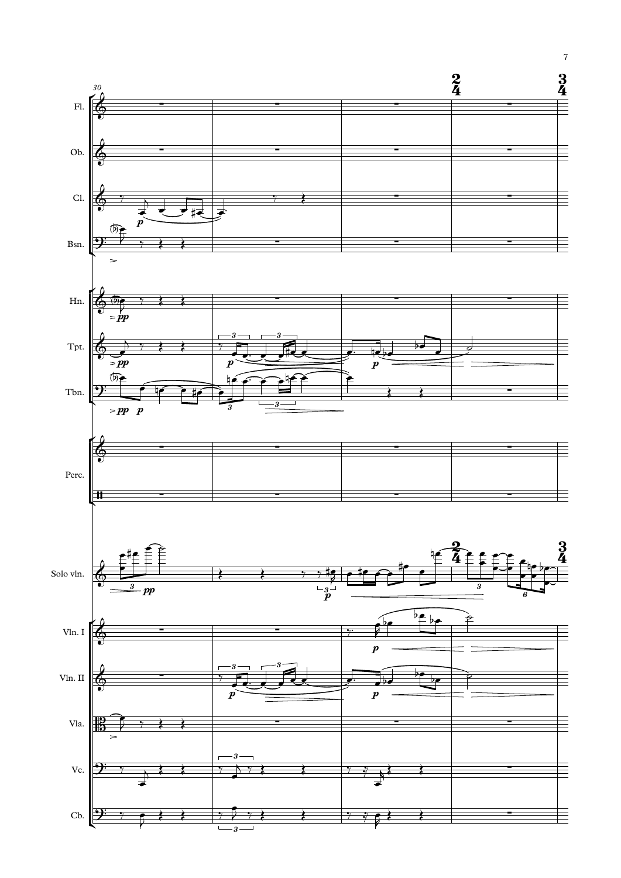

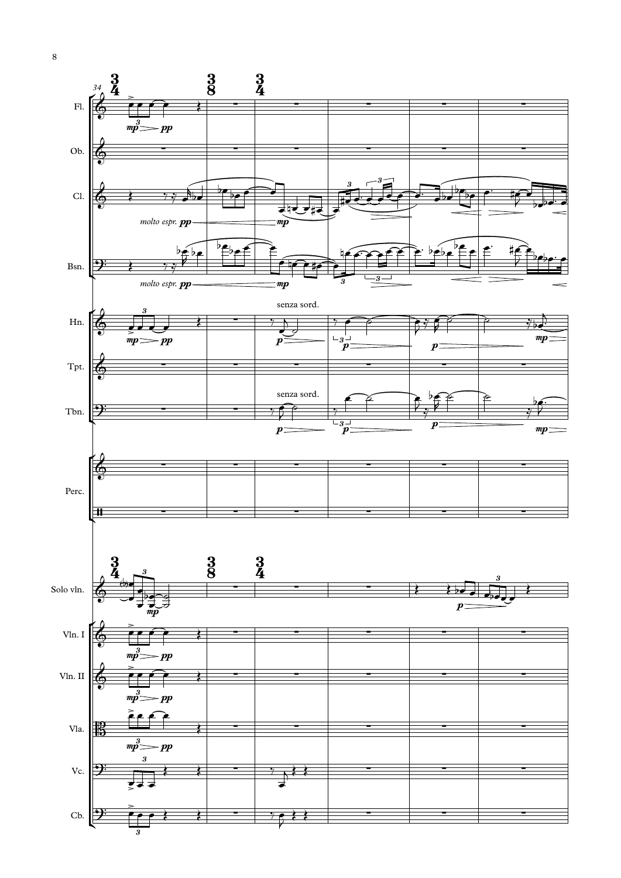

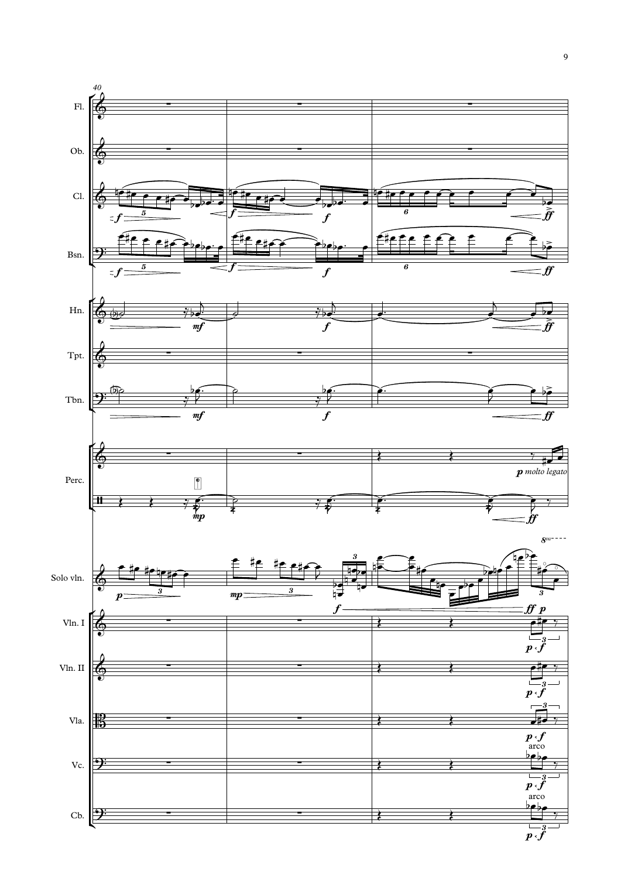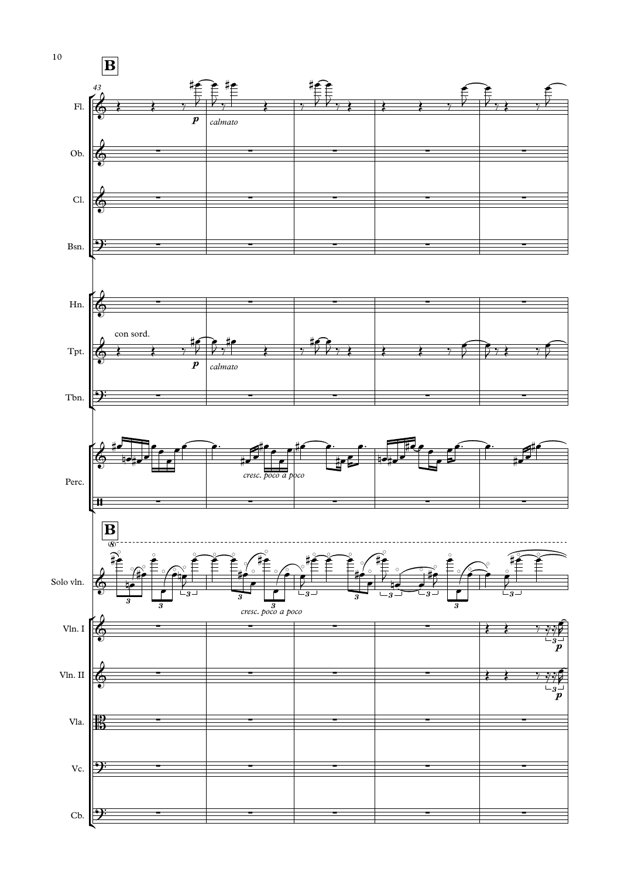

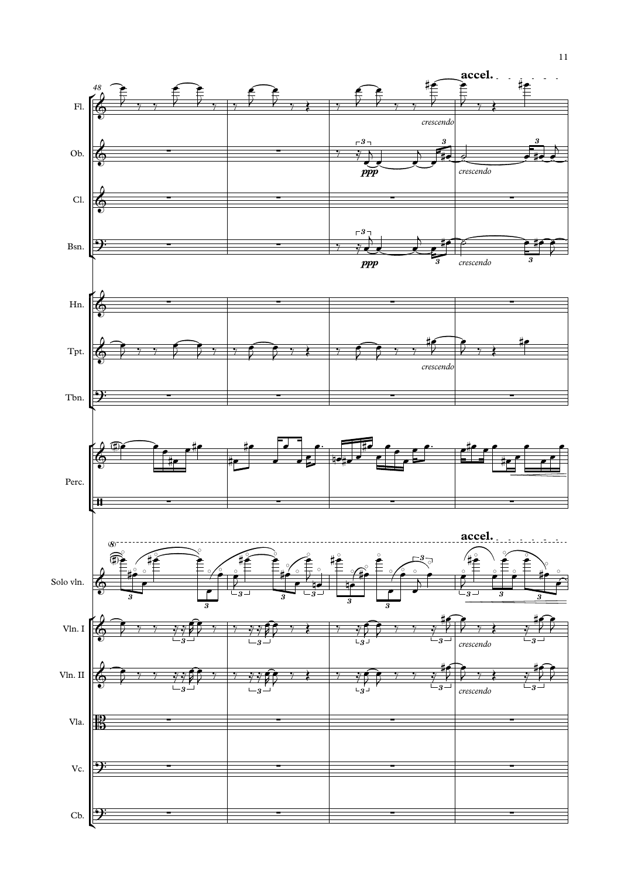

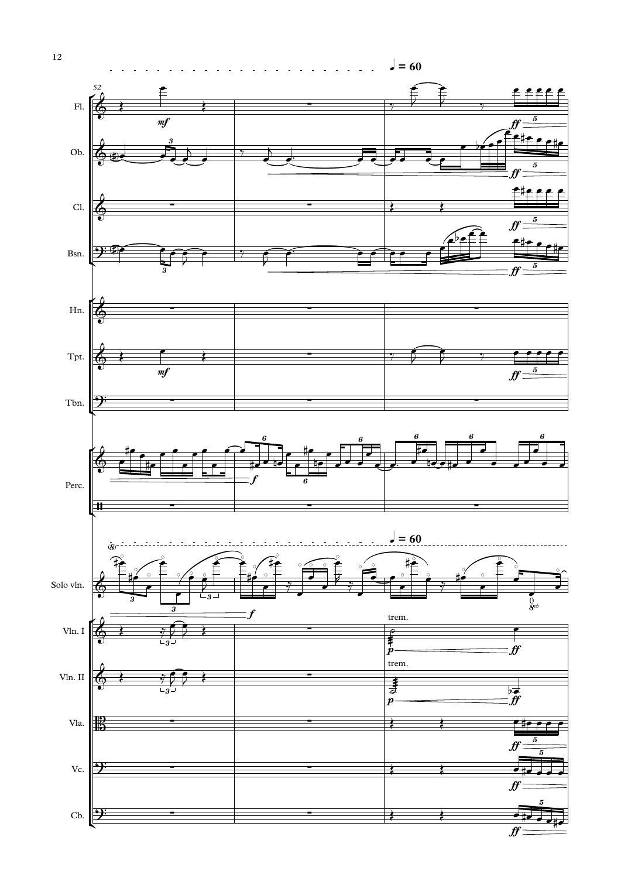

 $12\phantom{.0}$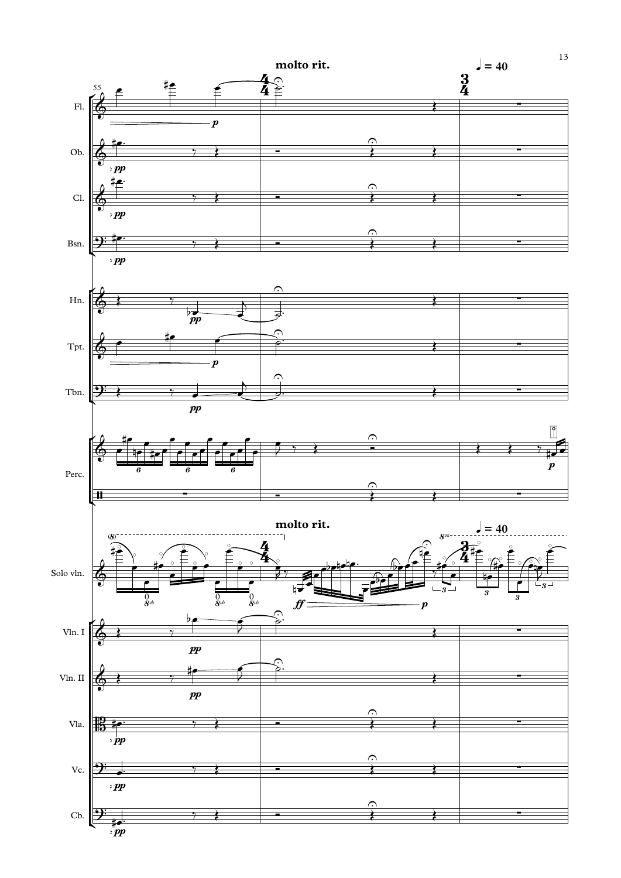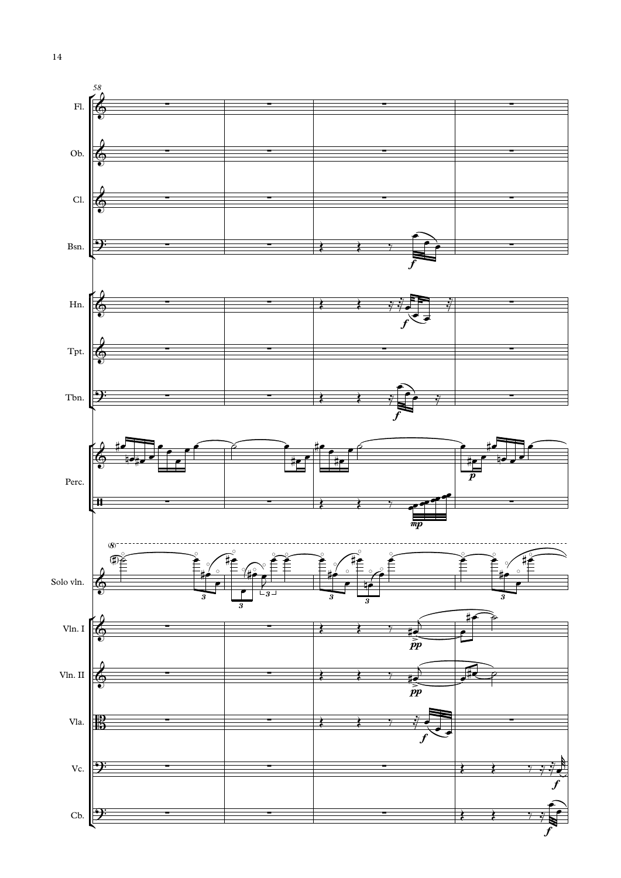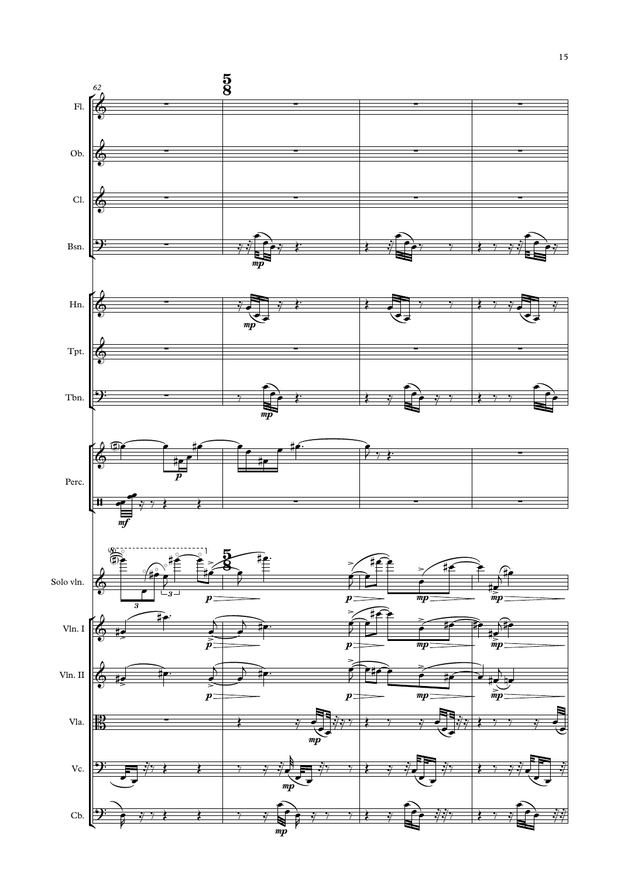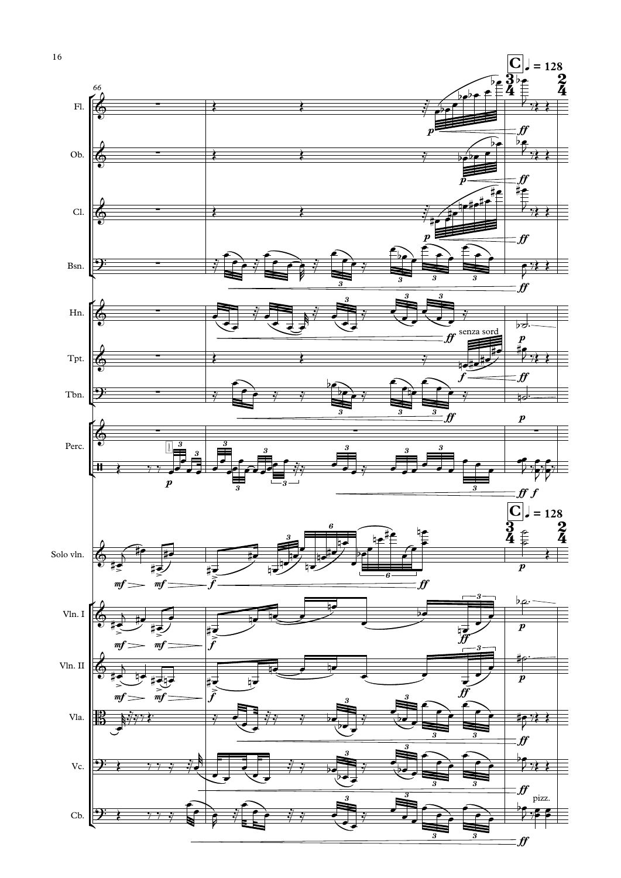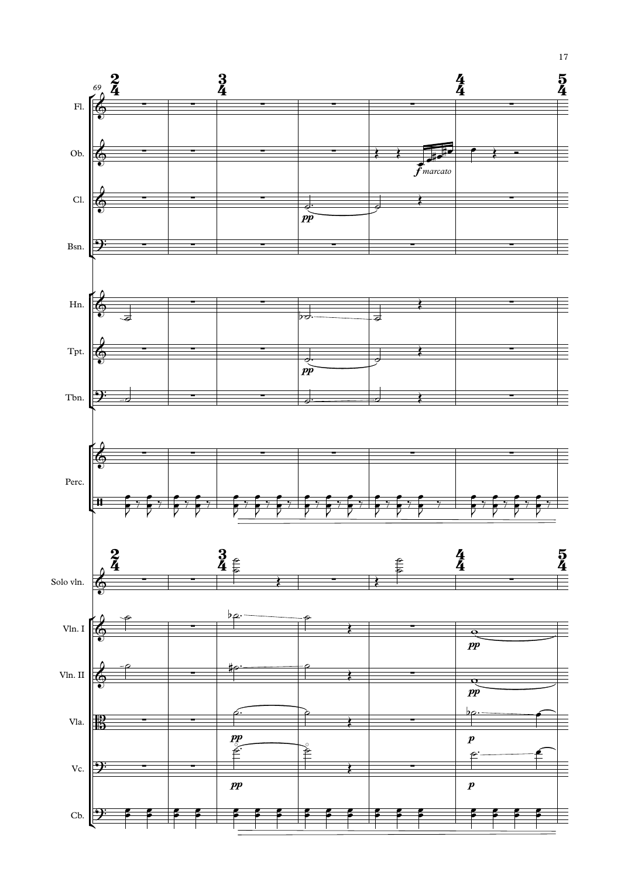![](_page_17_Figure_2.jpeg)

![](_page_17_Figure_0.jpeg)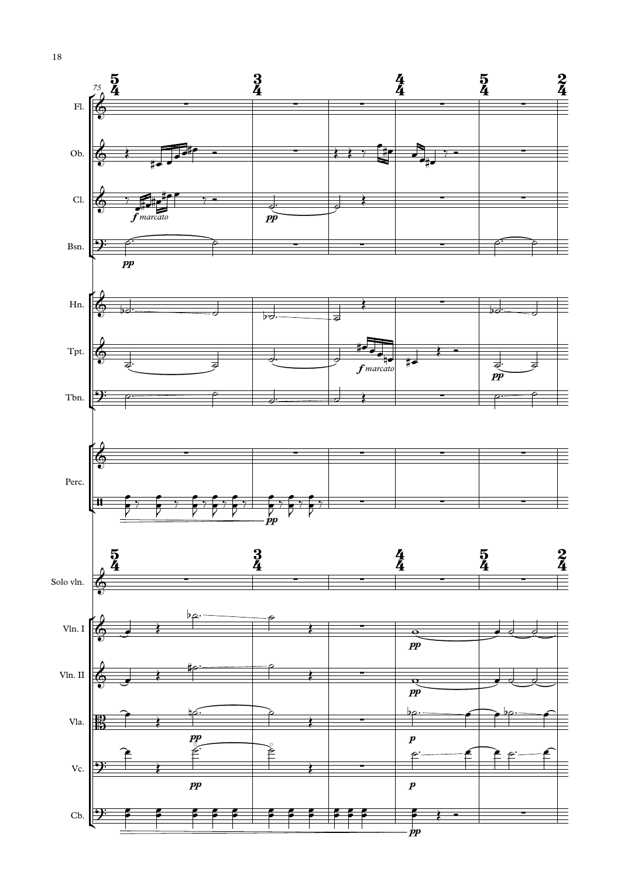![](_page_18_Figure_0.jpeg)

![](_page_18_Figure_2.jpeg)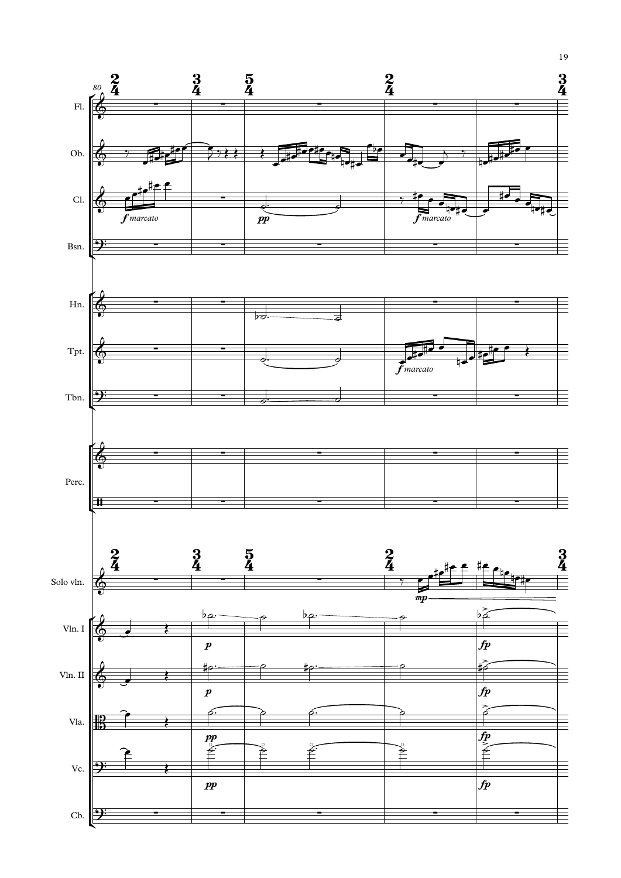![](_page_19_Figure_0.jpeg)

![](_page_19_Figure_2.jpeg)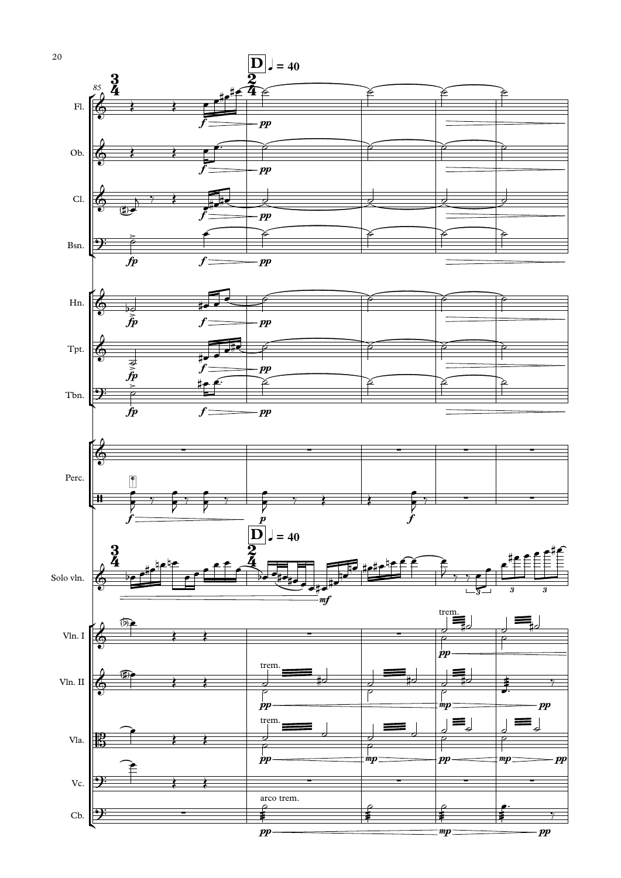![](_page_20_Figure_0.jpeg)

![](_page_20_Figure_1.jpeg)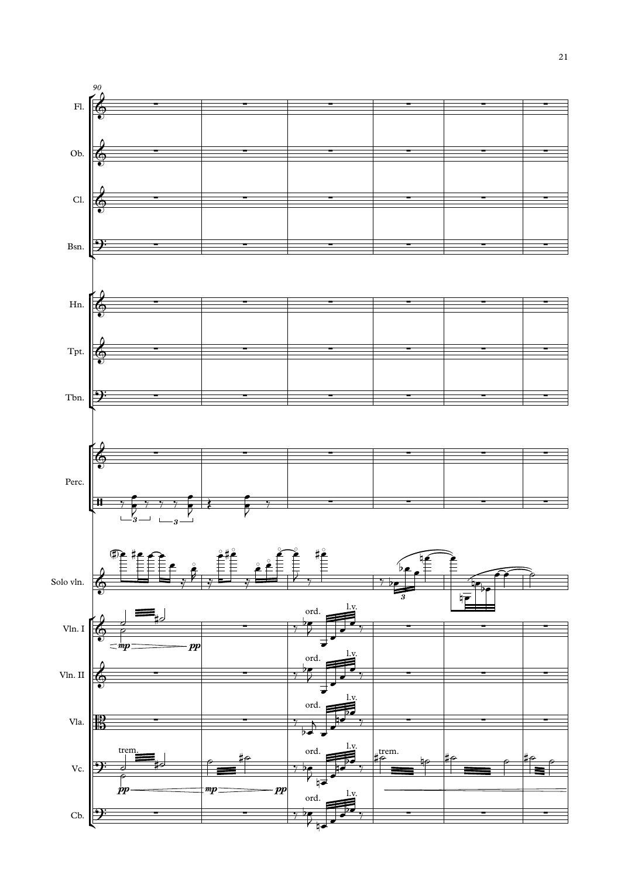![](_page_21_Figure_0.jpeg)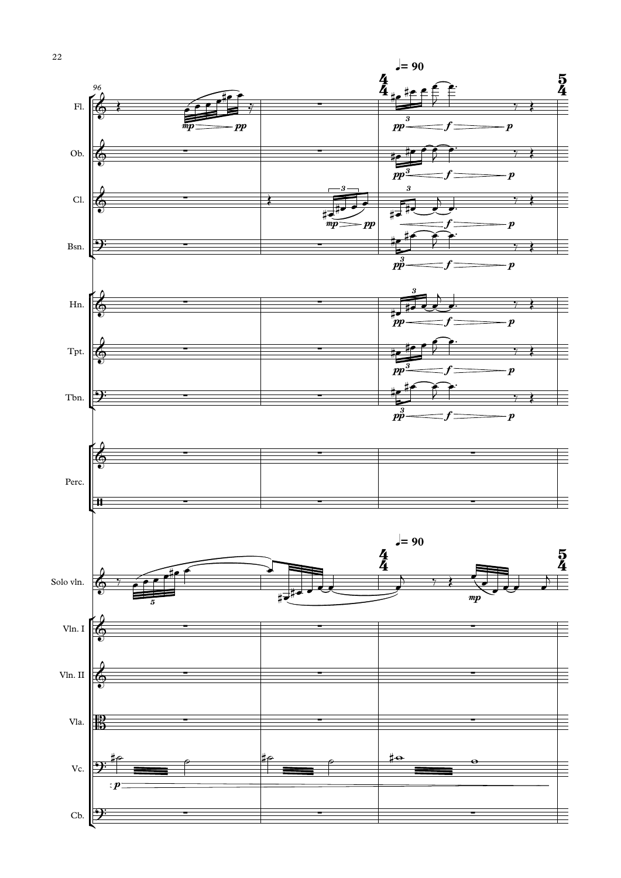![](_page_22_Figure_0.jpeg)

![](_page_22_Figure_2.jpeg)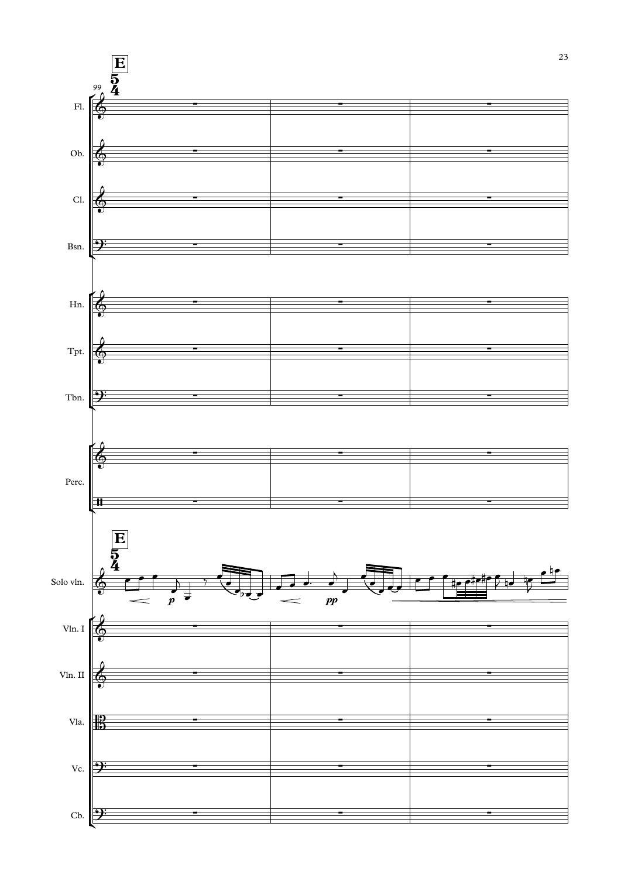![](_page_23_Figure_1.jpeg)

![](_page_23_Figure_0.jpeg)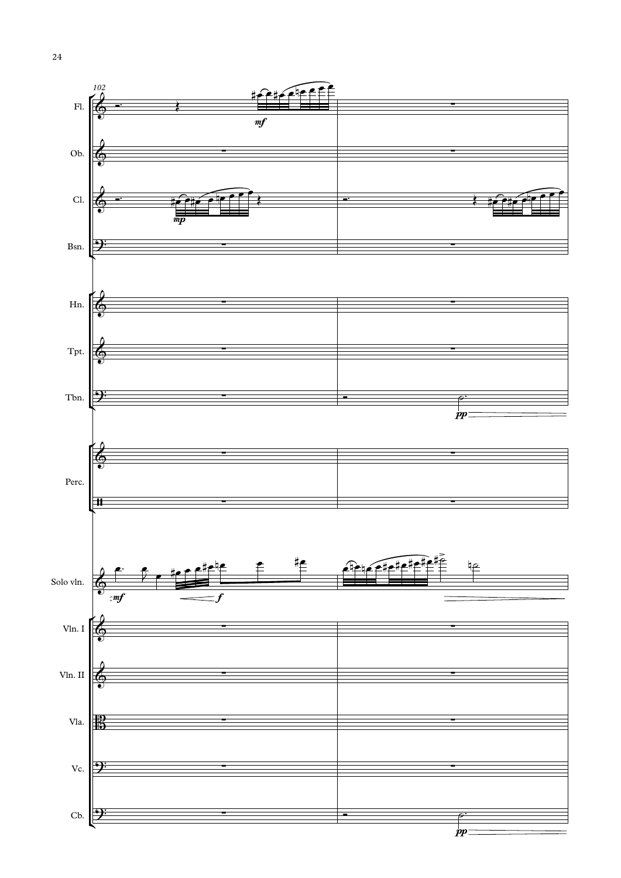![](_page_24_Figure_0.jpeg)

![](_page_24_Figure_2.jpeg)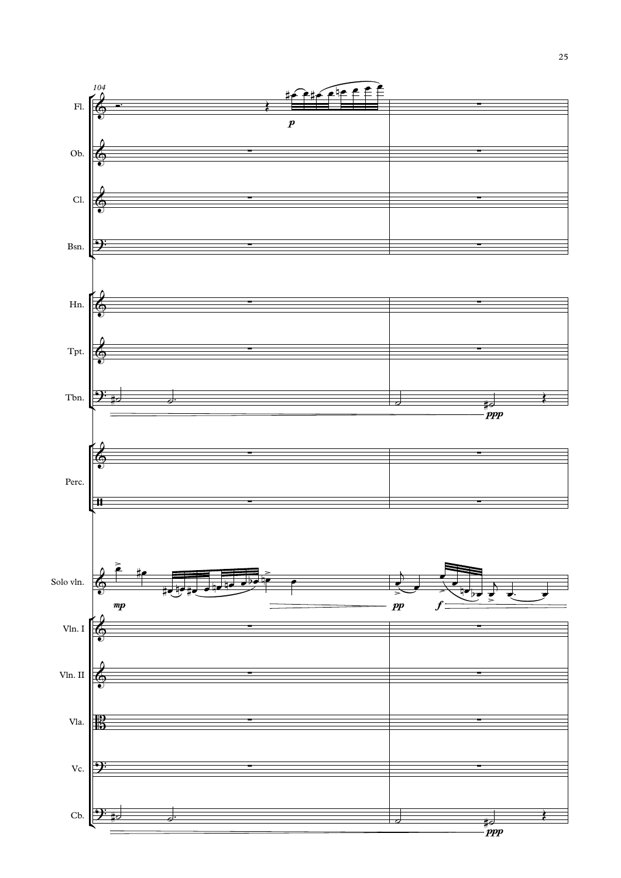![](_page_25_Figure_0.jpeg)

![](_page_25_Figure_2.jpeg)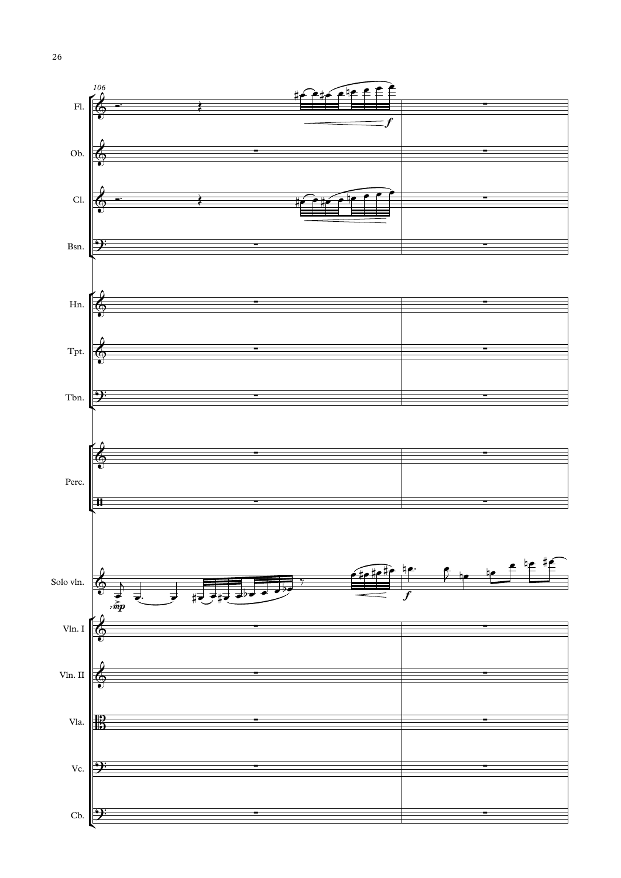![](_page_26_Figure_0.jpeg)

![](_page_26_Figure_2.jpeg)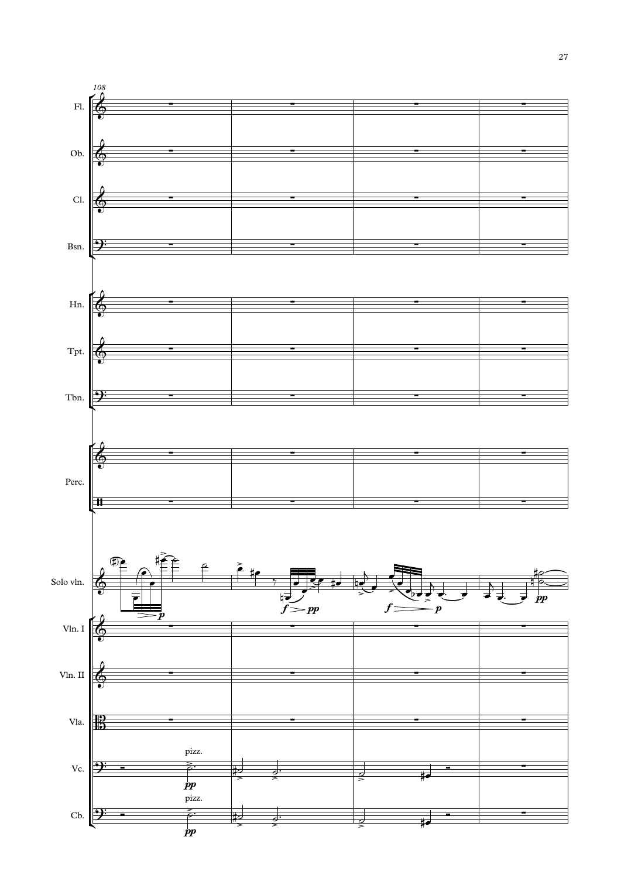![](_page_27_Figure_0.jpeg)

![](_page_27_Figure_2.jpeg)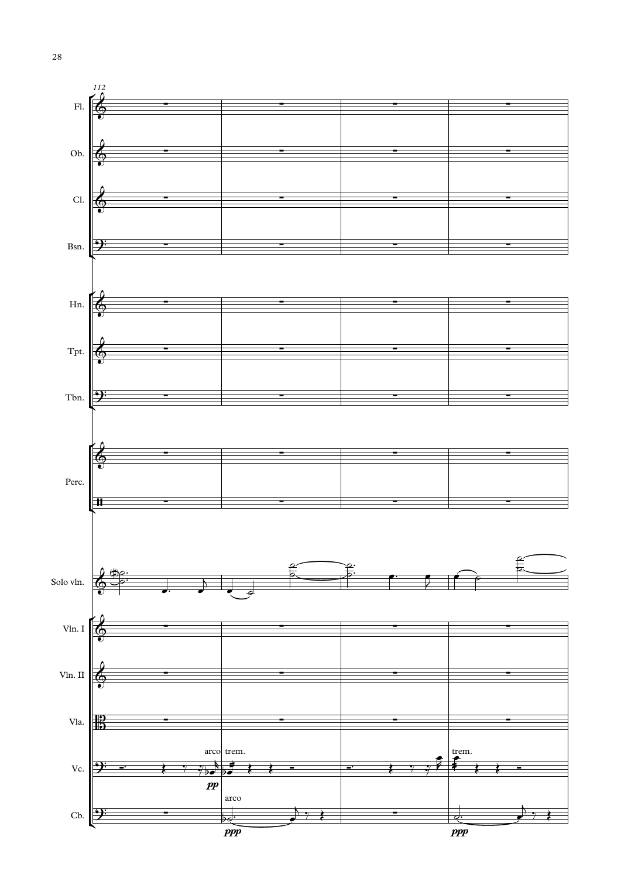![](_page_28_Figure_2.jpeg)

![](_page_28_Figure_0.jpeg)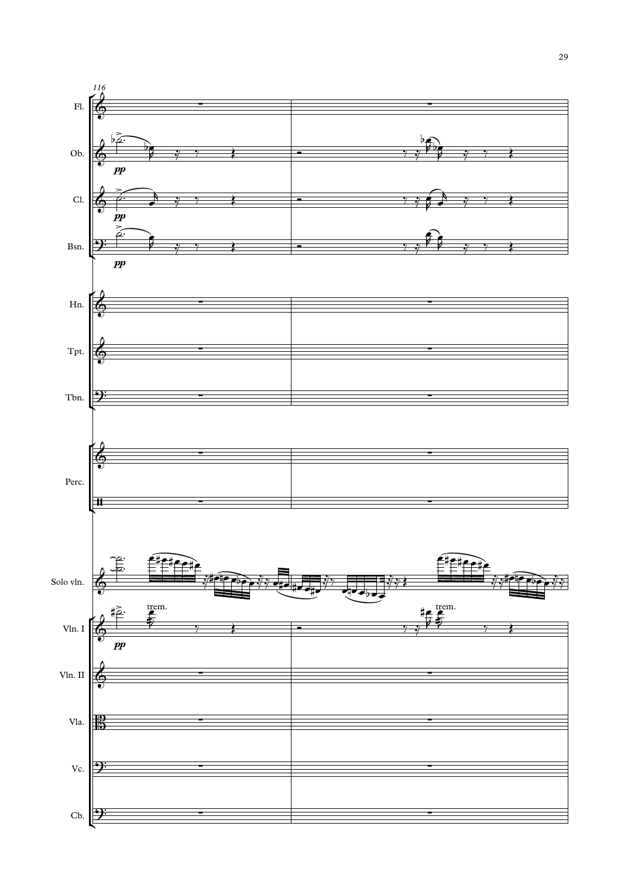![](_page_29_Figure_2.jpeg)

![](_page_29_Figure_0.jpeg)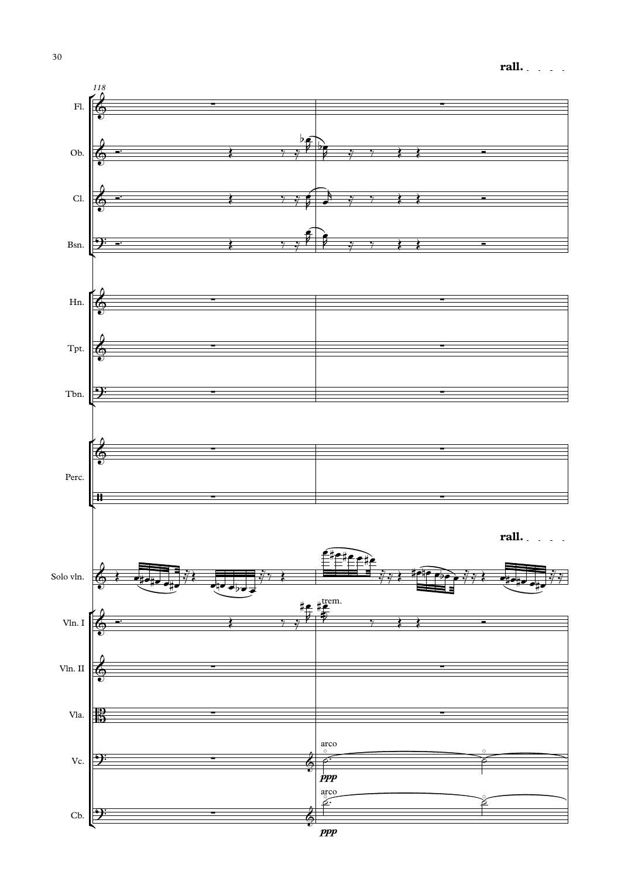![](_page_30_Figure_1.jpeg)

![](_page_30_Figure_3.jpeg)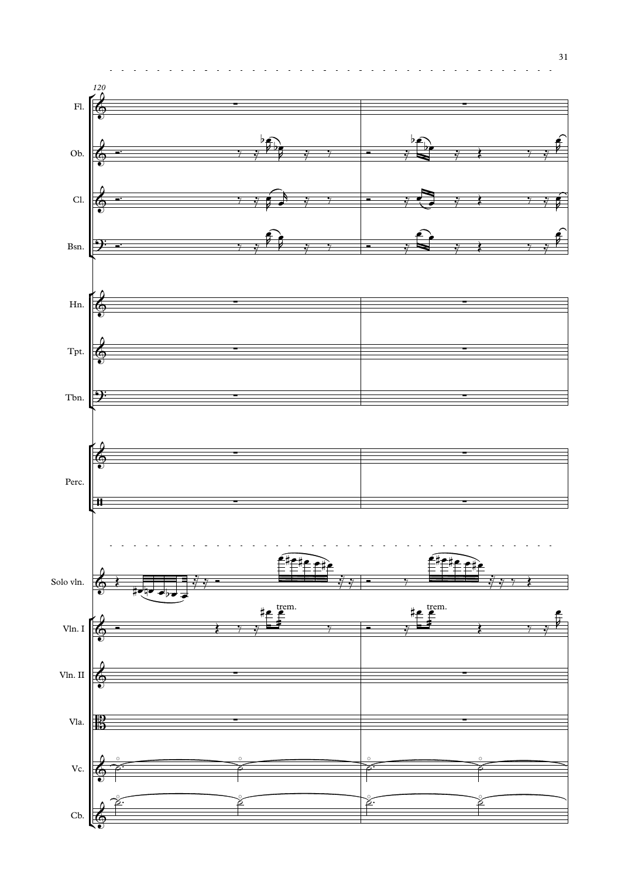![](_page_31_Figure_0.jpeg)

![](_page_31_Figure_2.jpeg)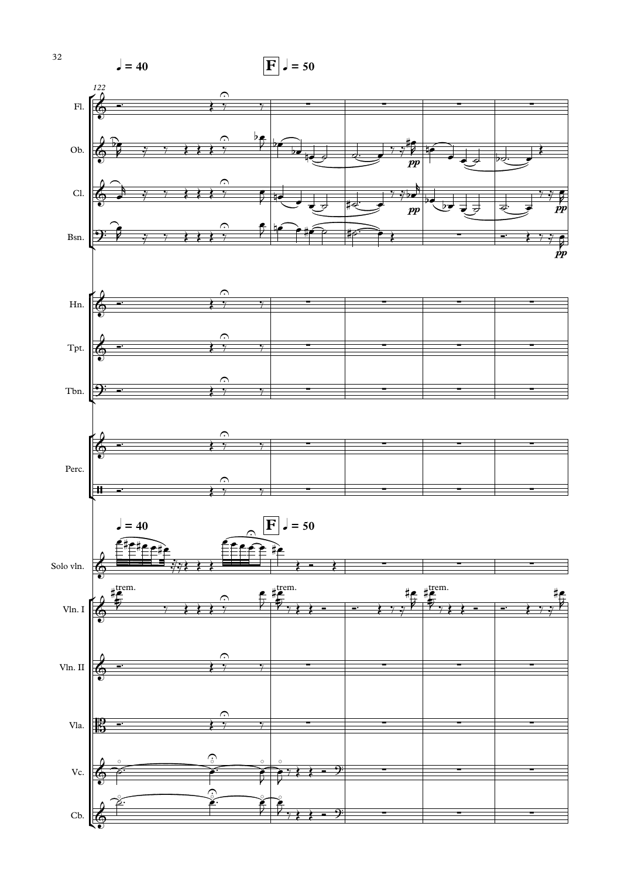![](_page_32_Figure_0.jpeg)

![](_page_32_Figure_1.jpeg)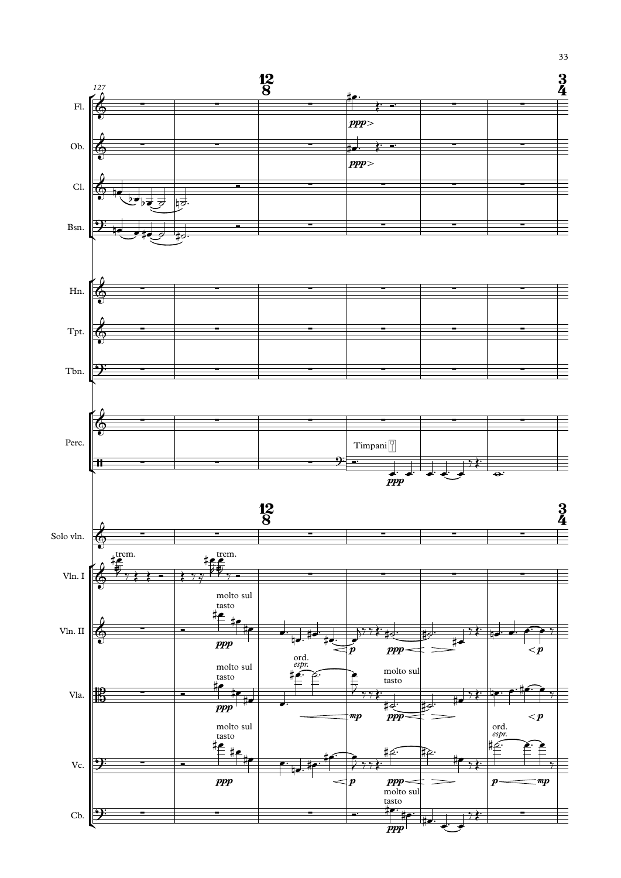![](_page_33_Figure_1.jpeg)

![](_page_33_Figure_0.jpeg)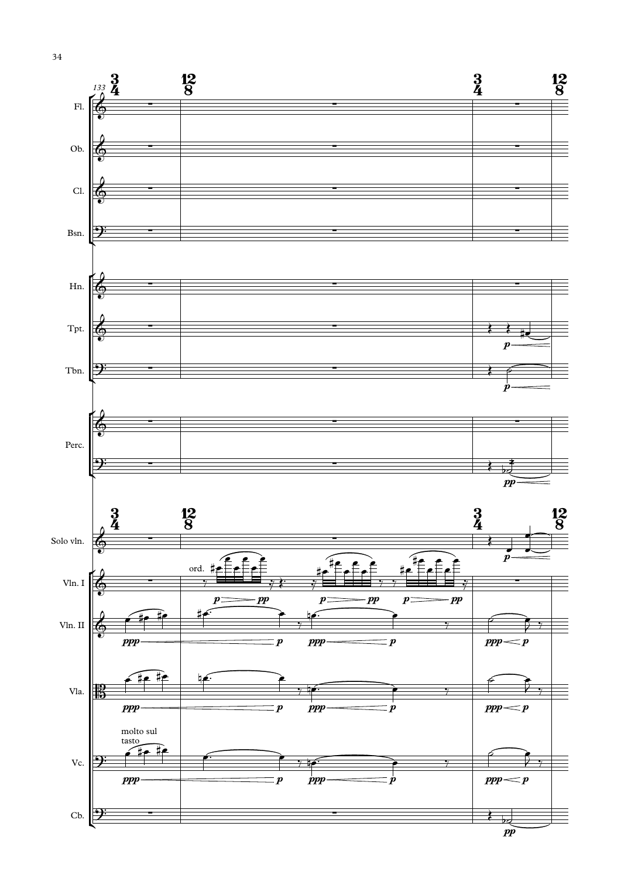![](_page_34_Figure_0.jpeg)

![](_page_34_Figure_2.jpeg)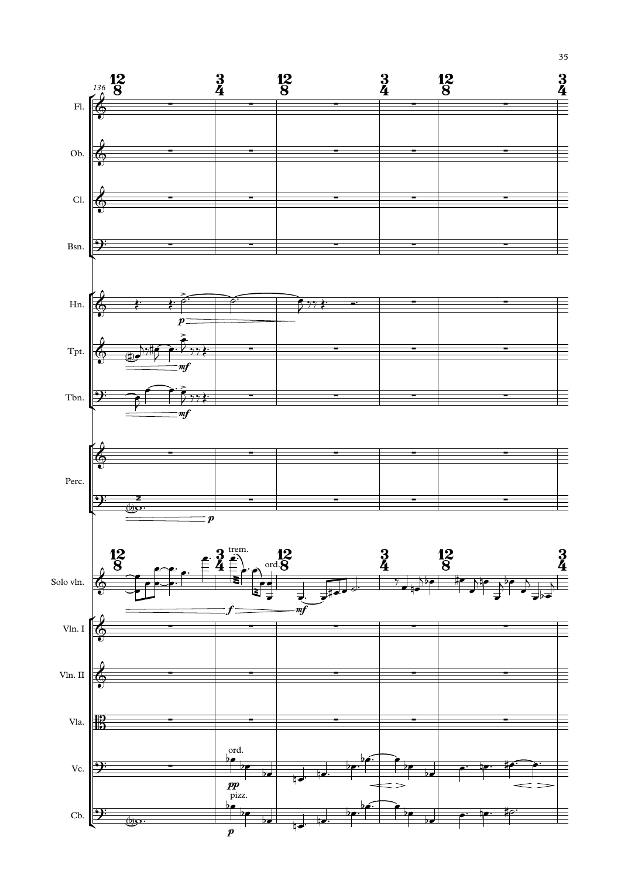![](_page_35_Figure_2.jpeg)

![](_page_35_Figure_0.jpeg)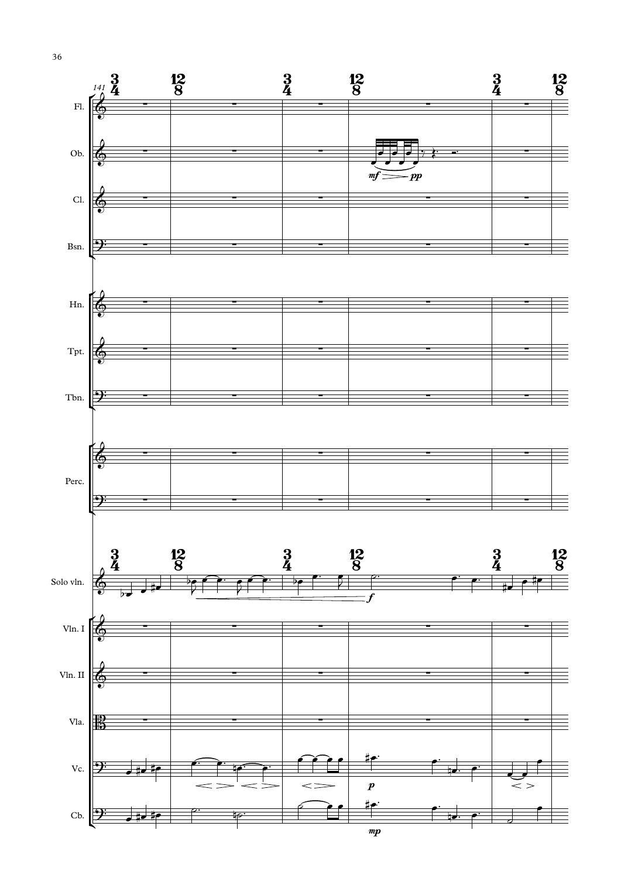

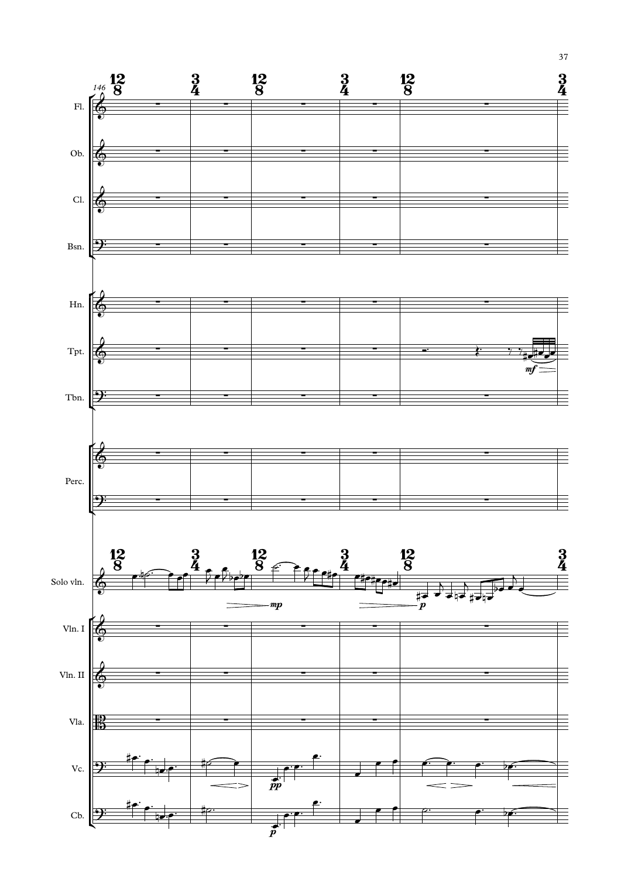

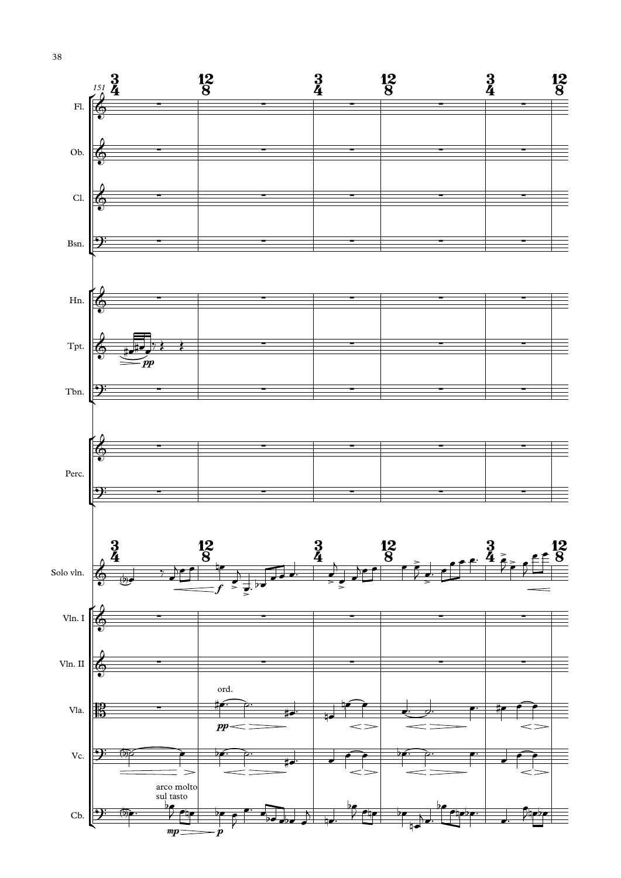

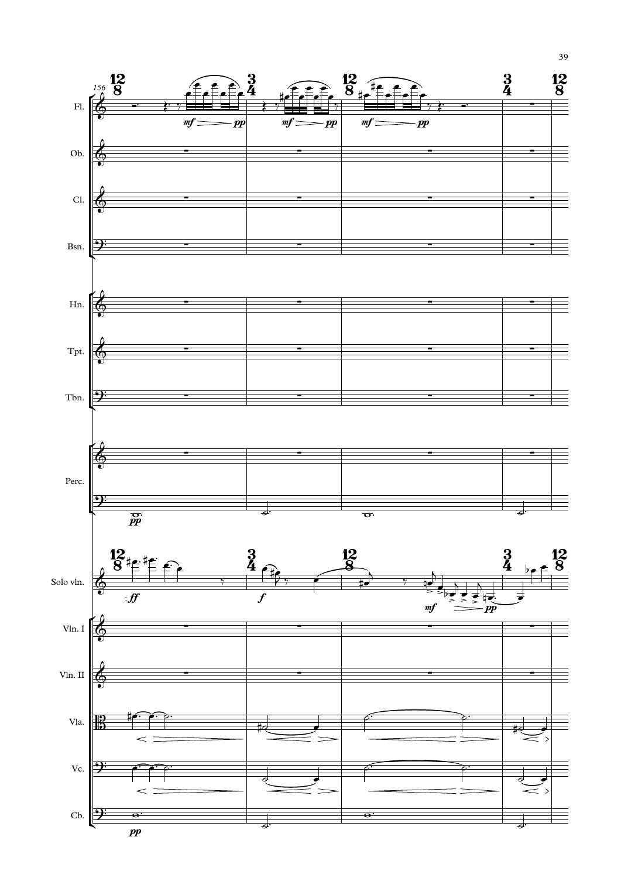

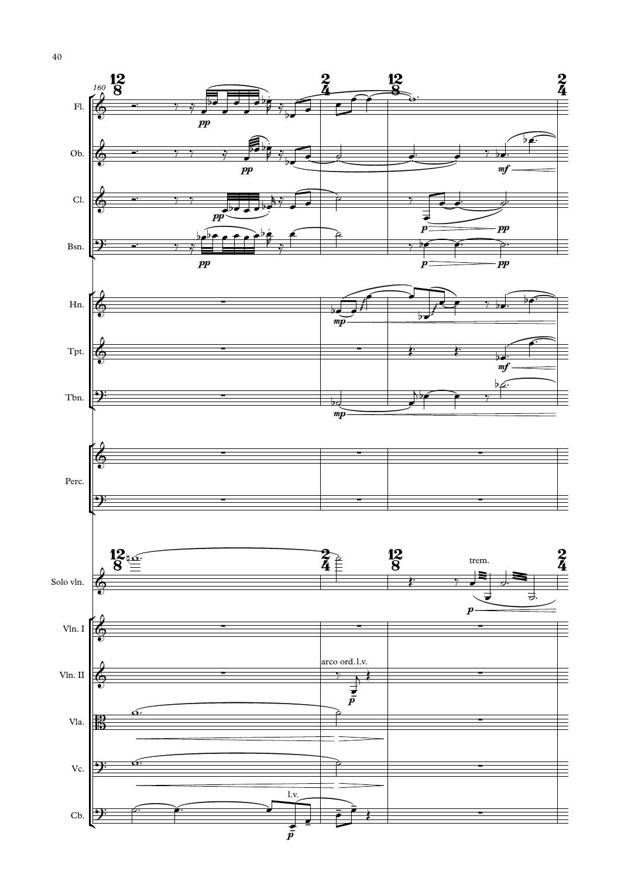

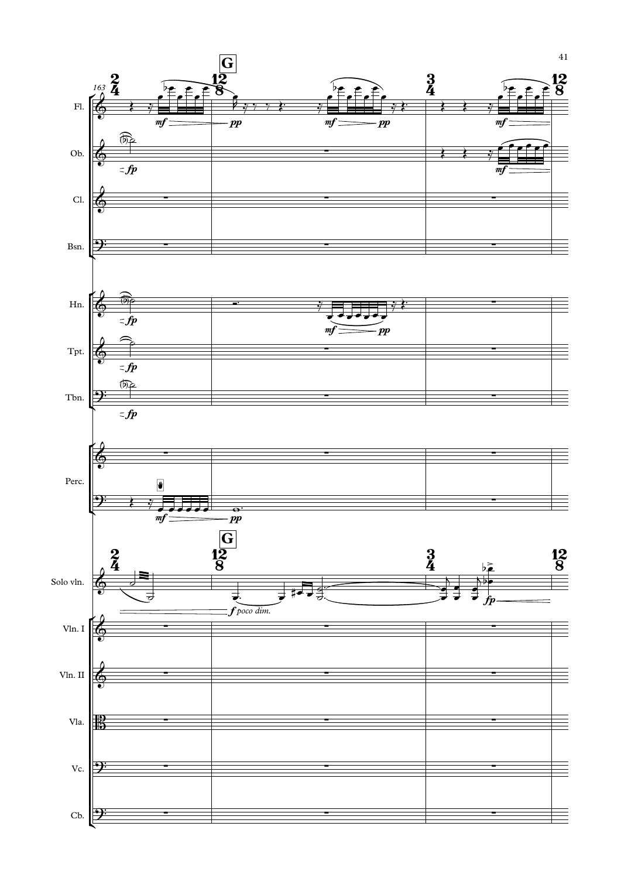

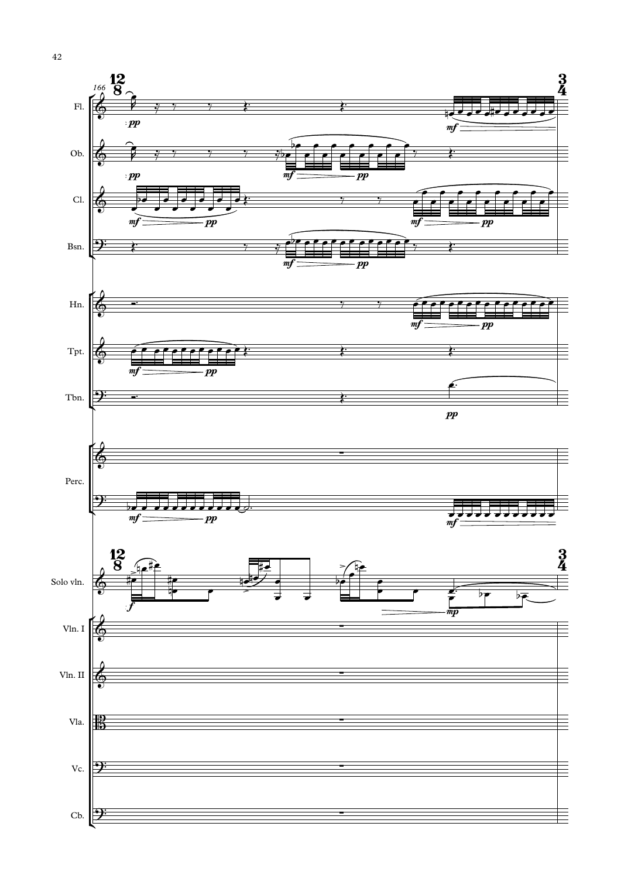

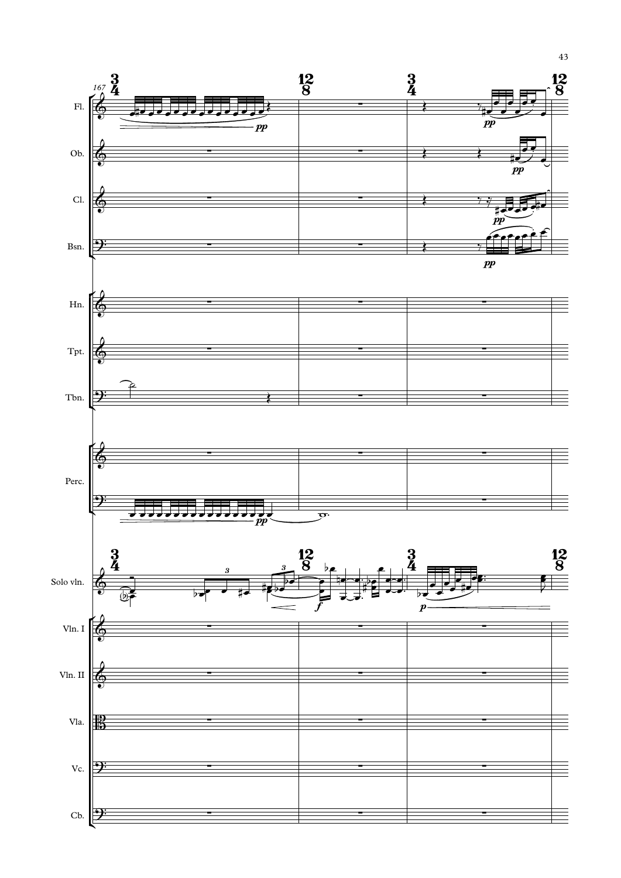

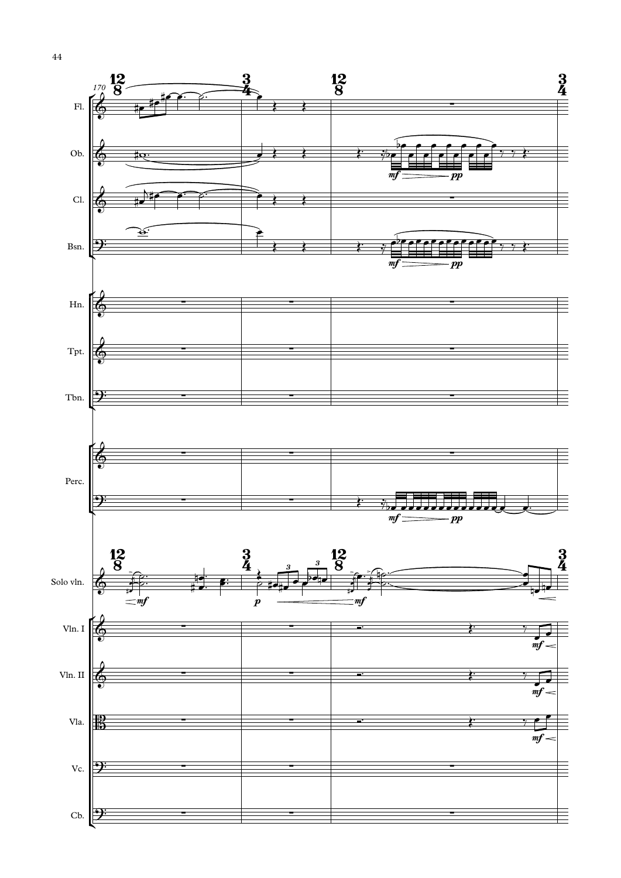

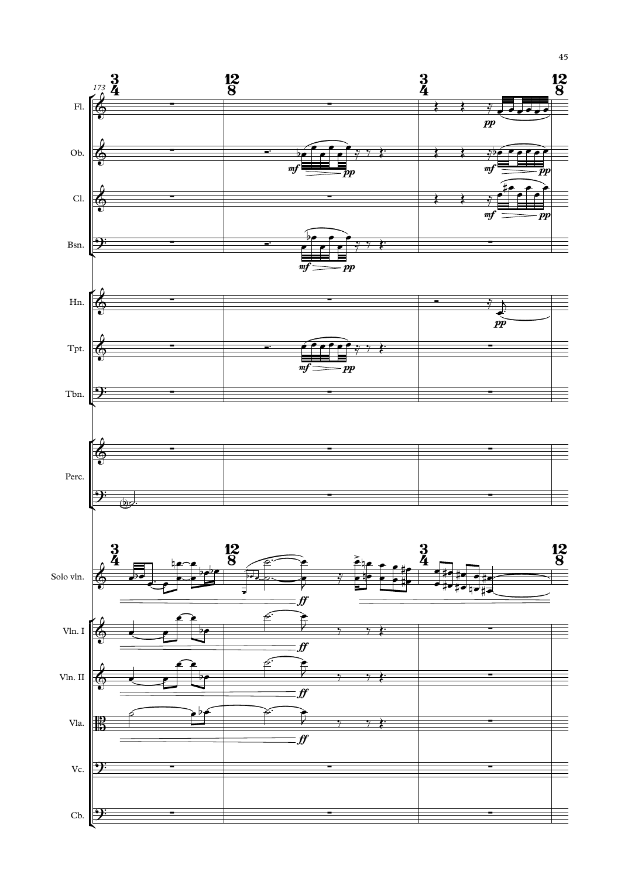

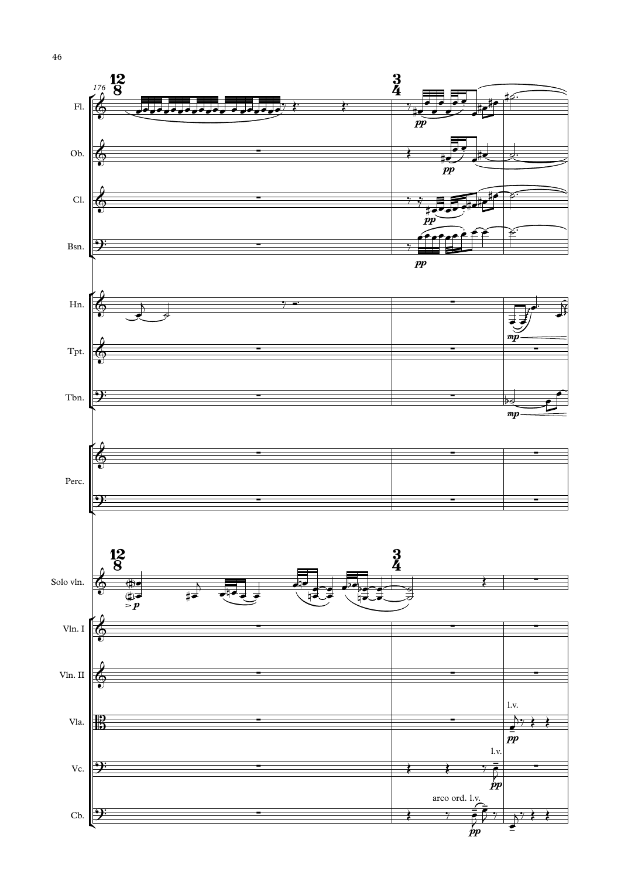

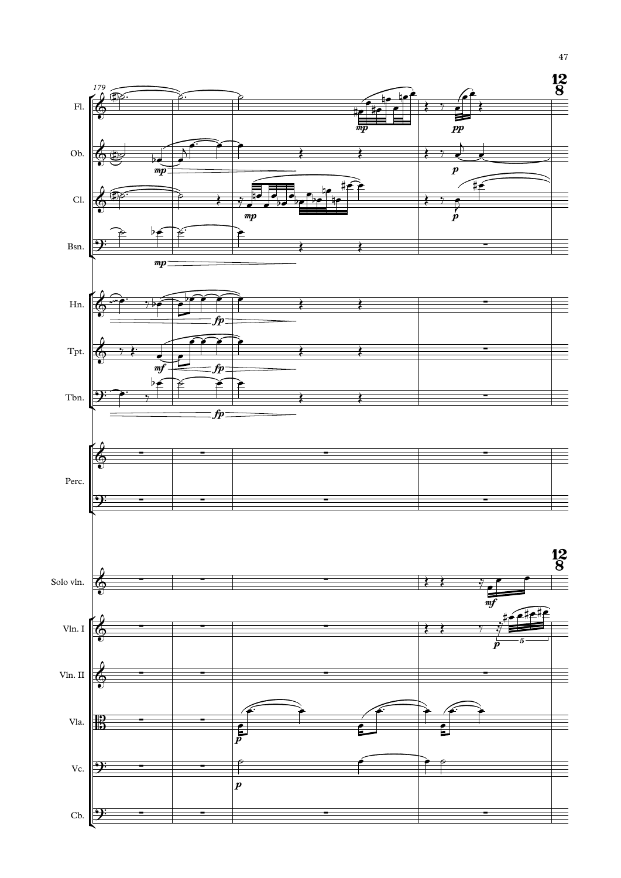

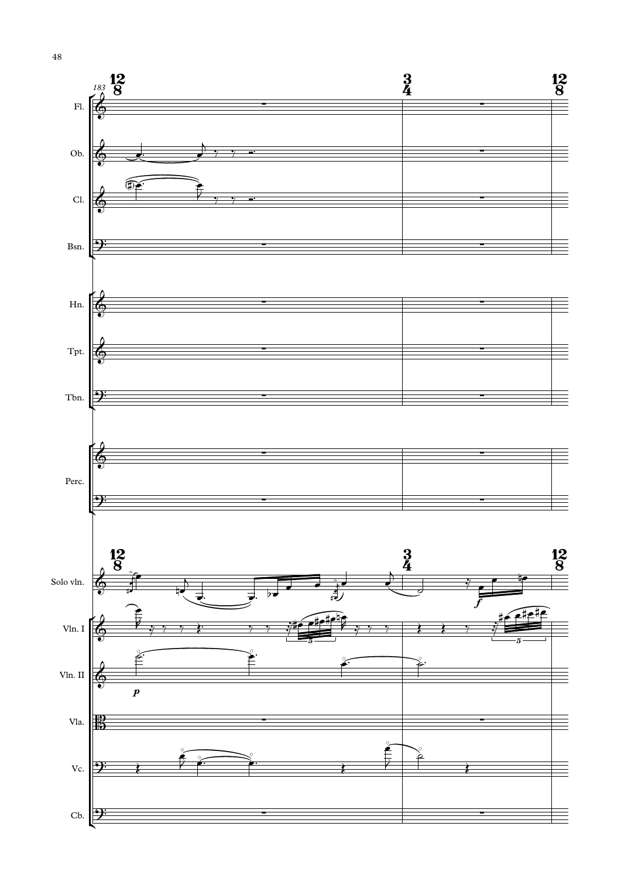

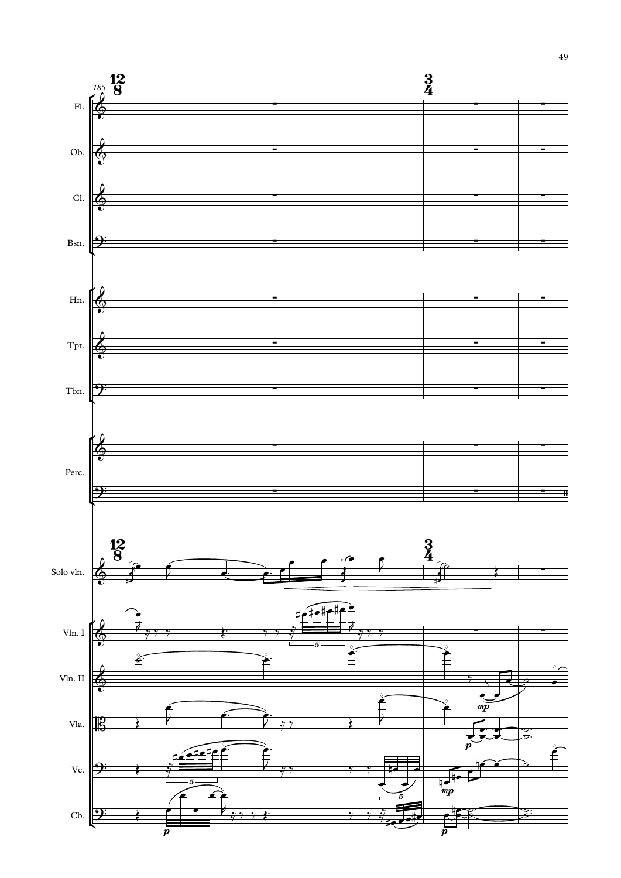

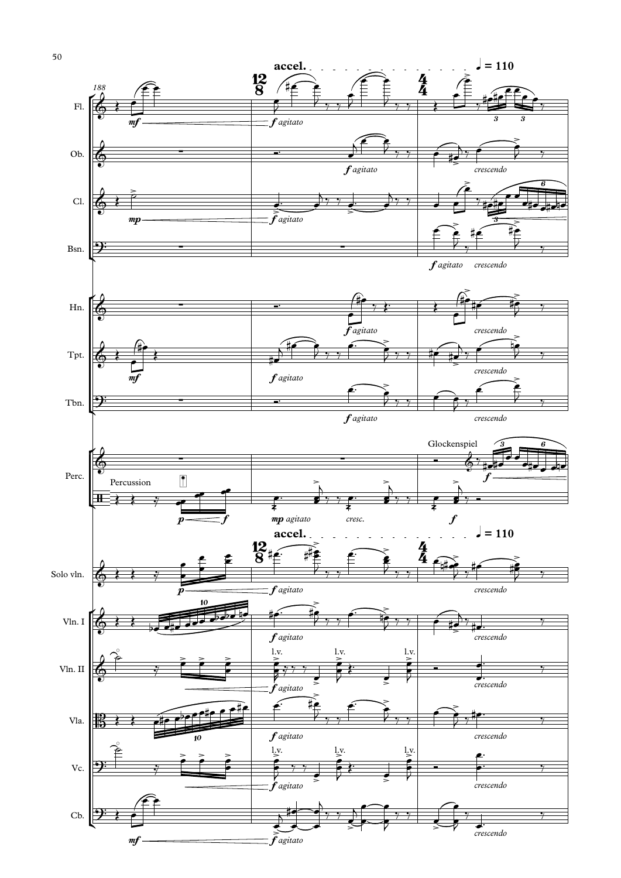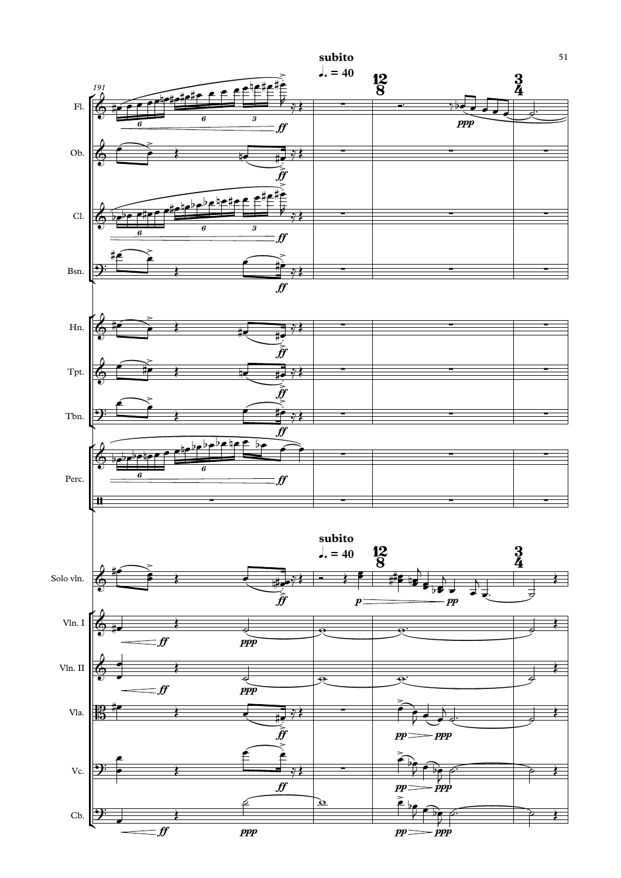

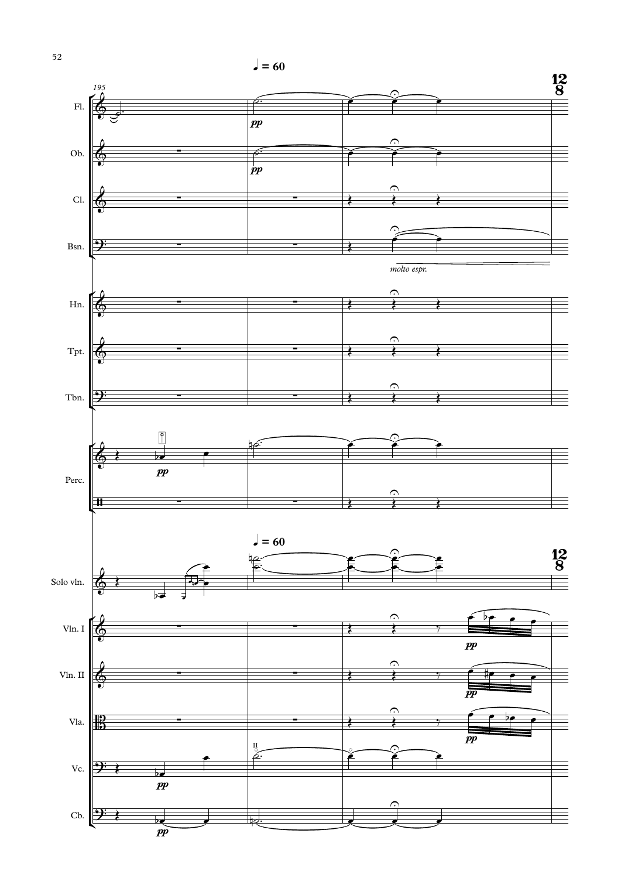

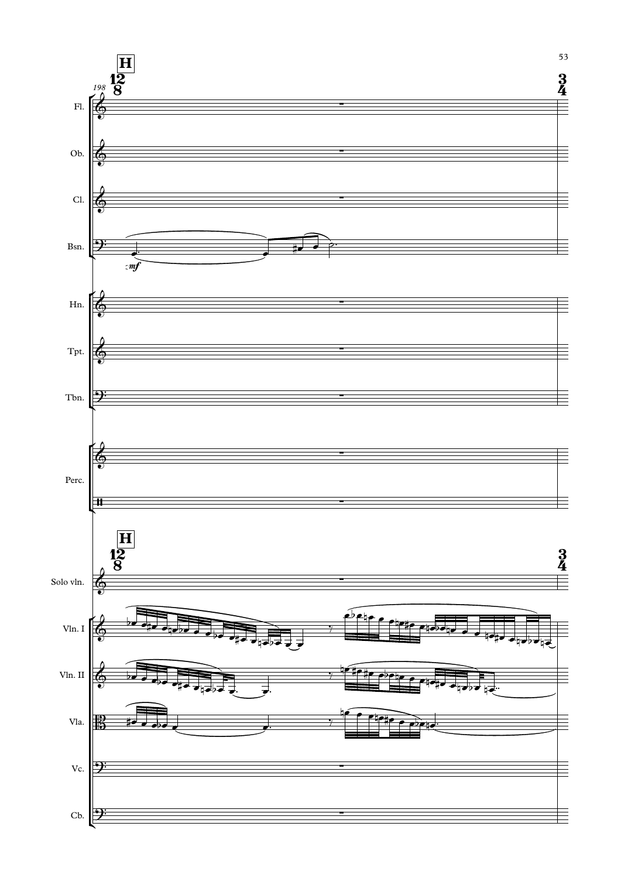

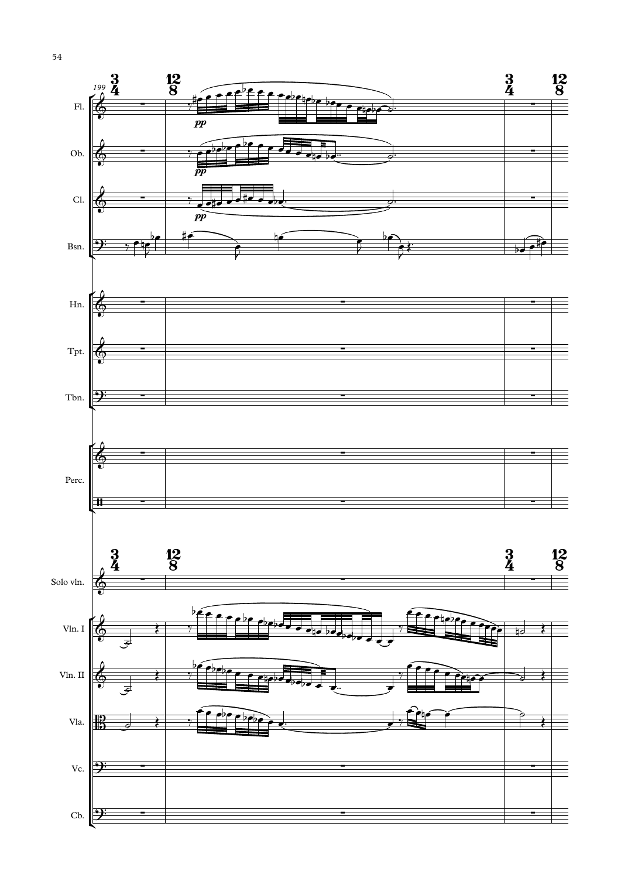

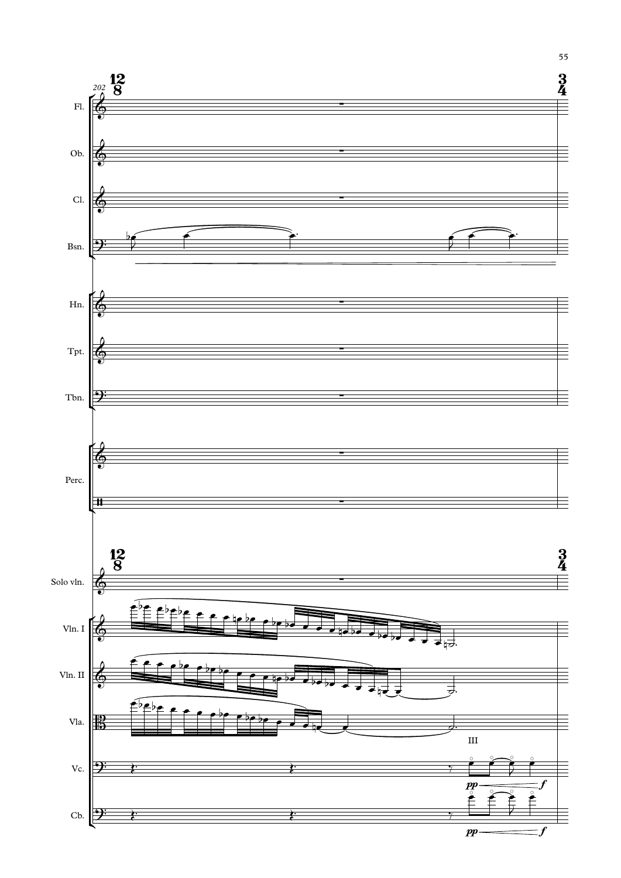

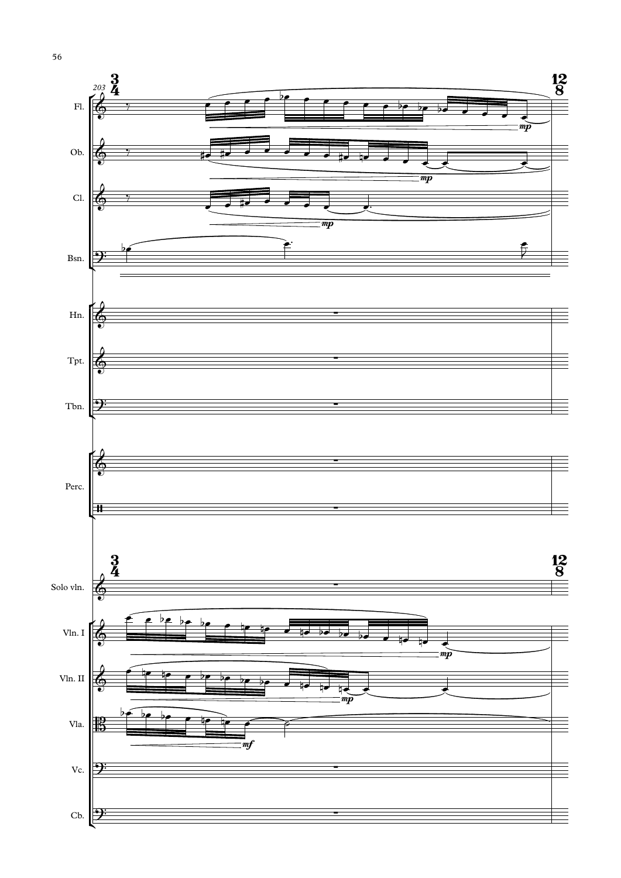

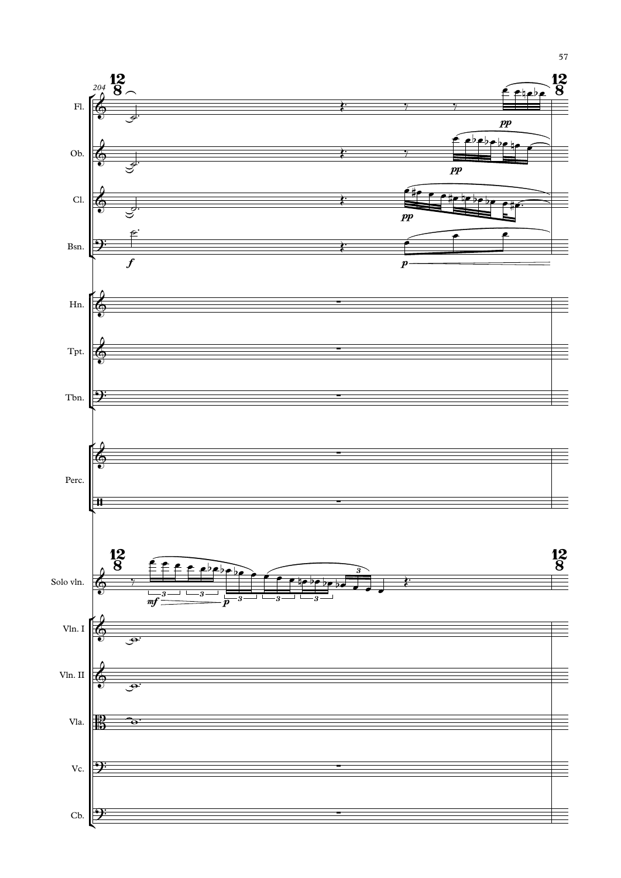

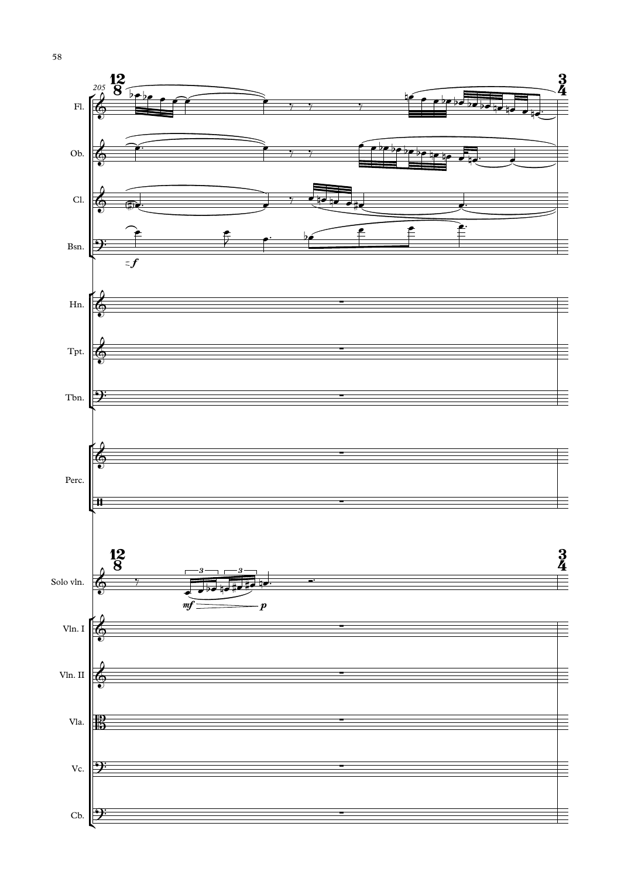

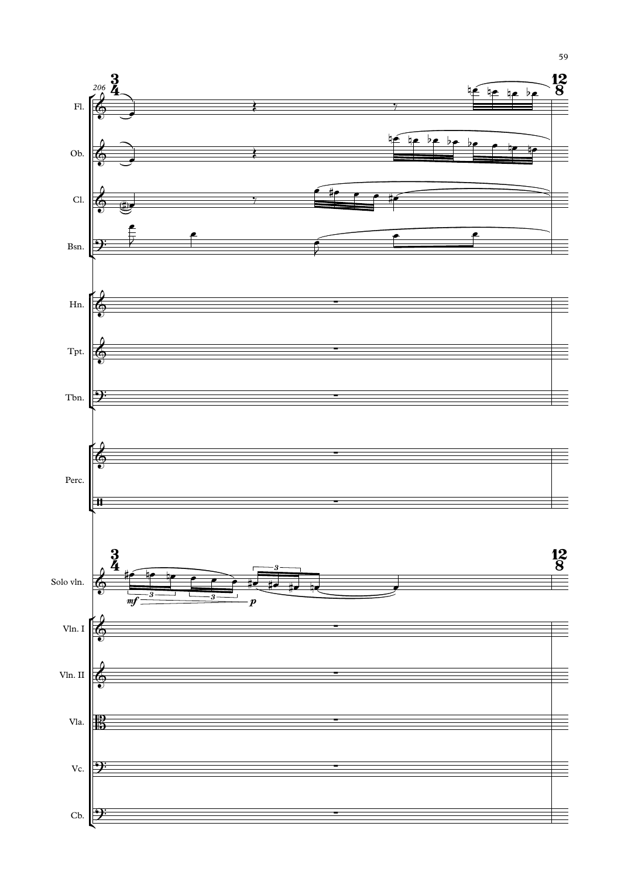

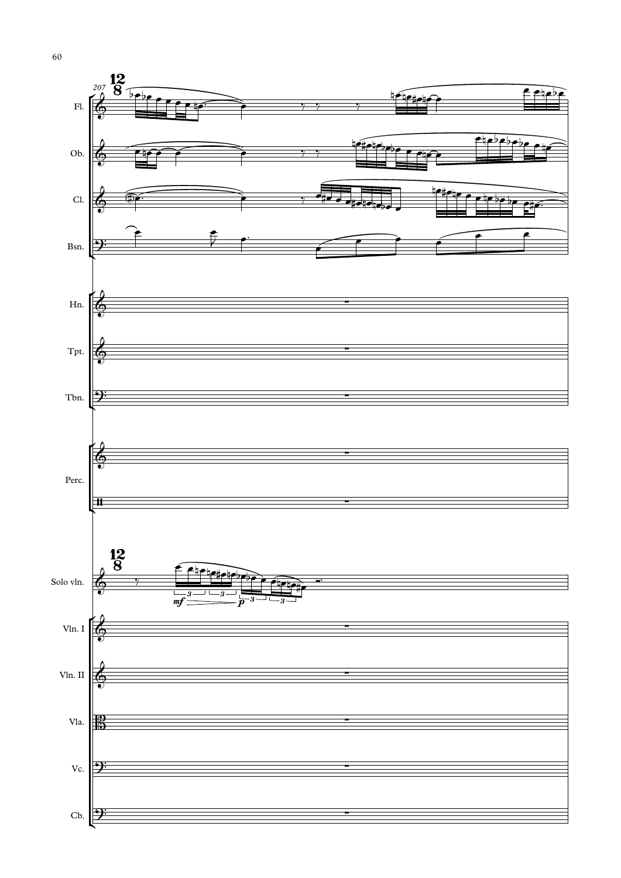

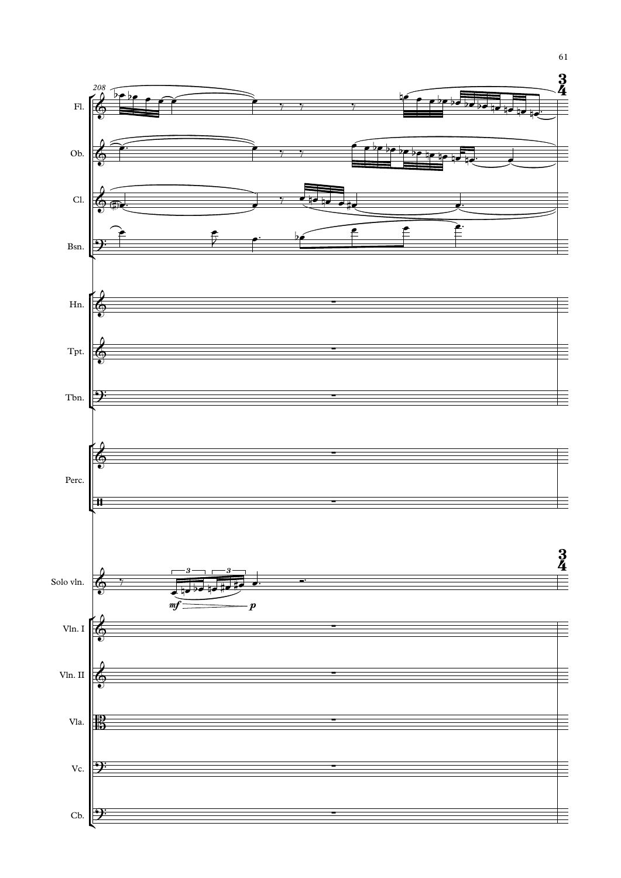

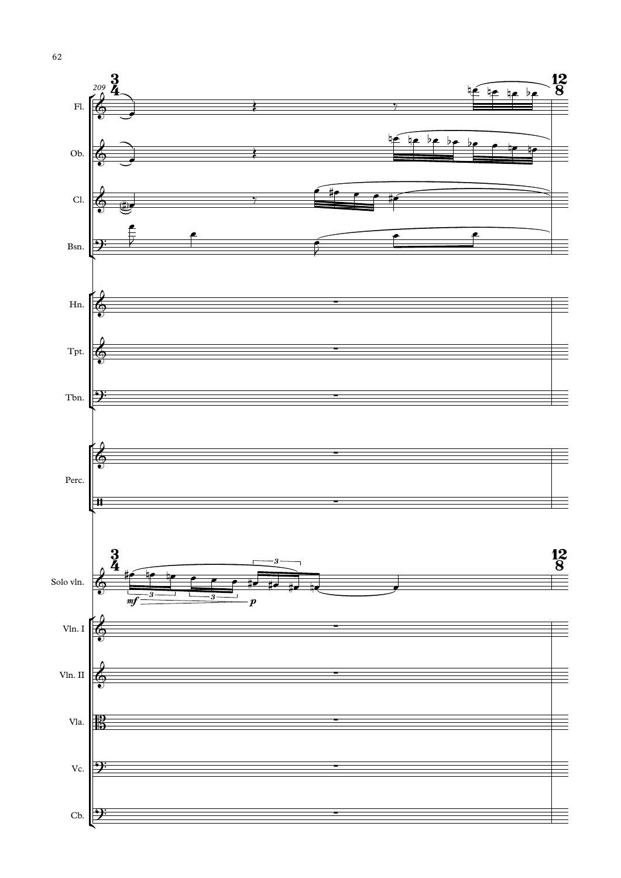

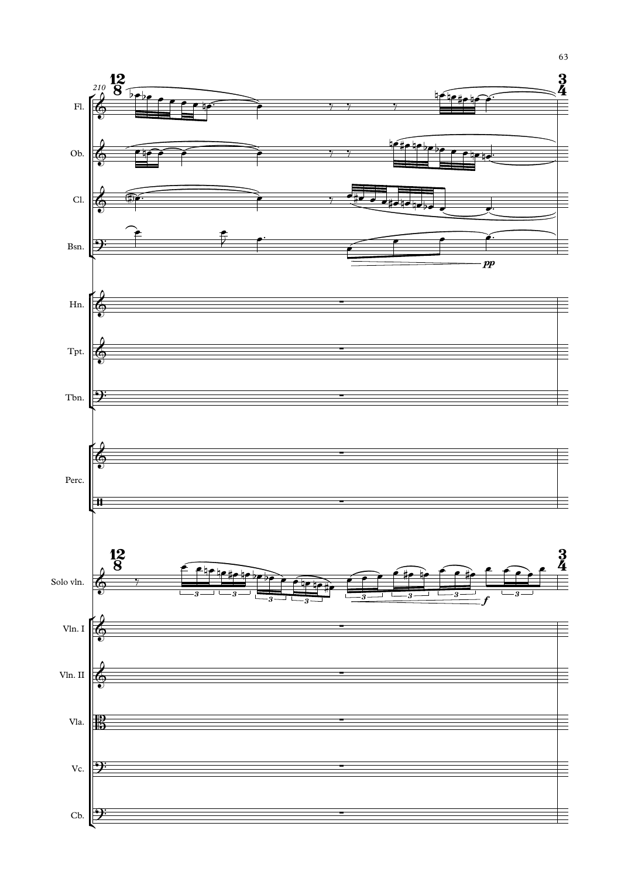

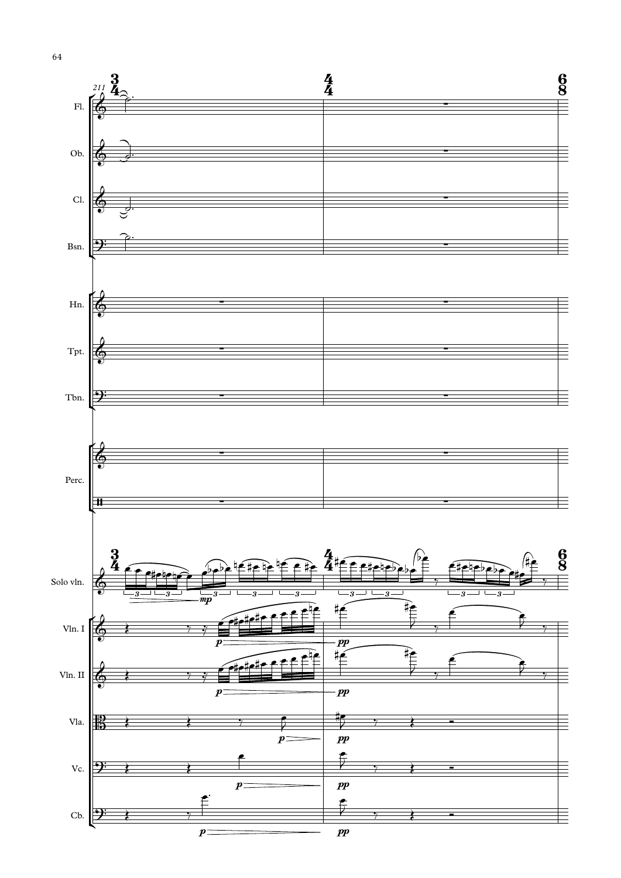

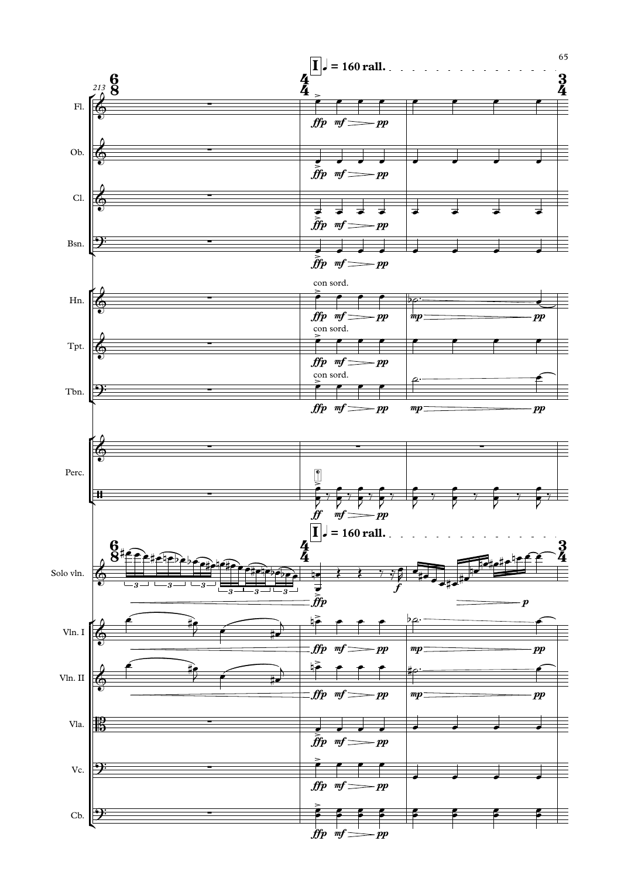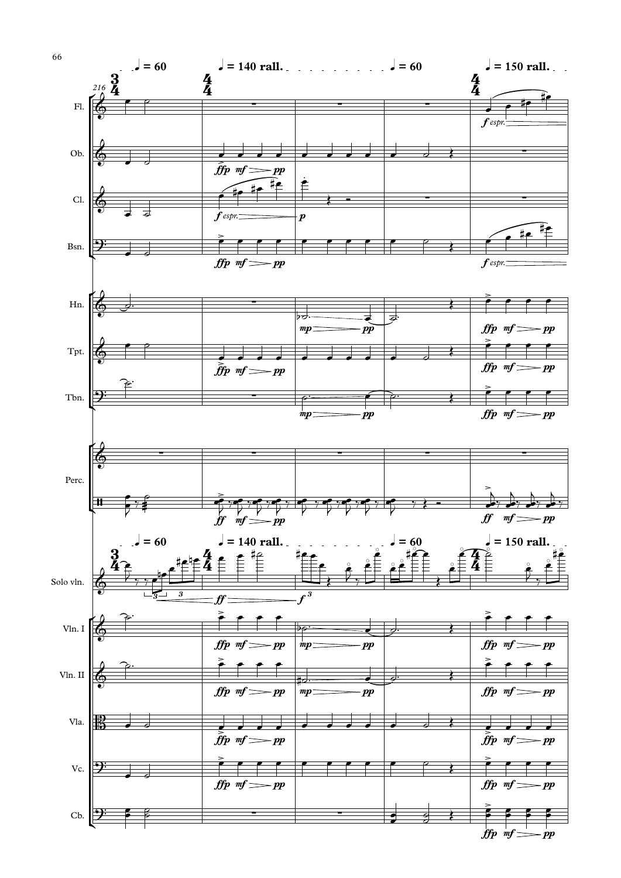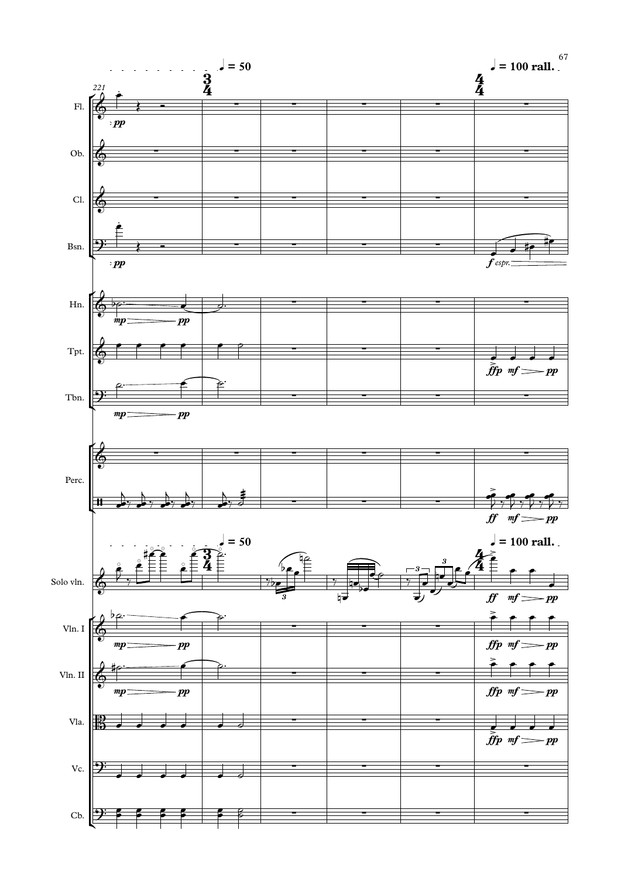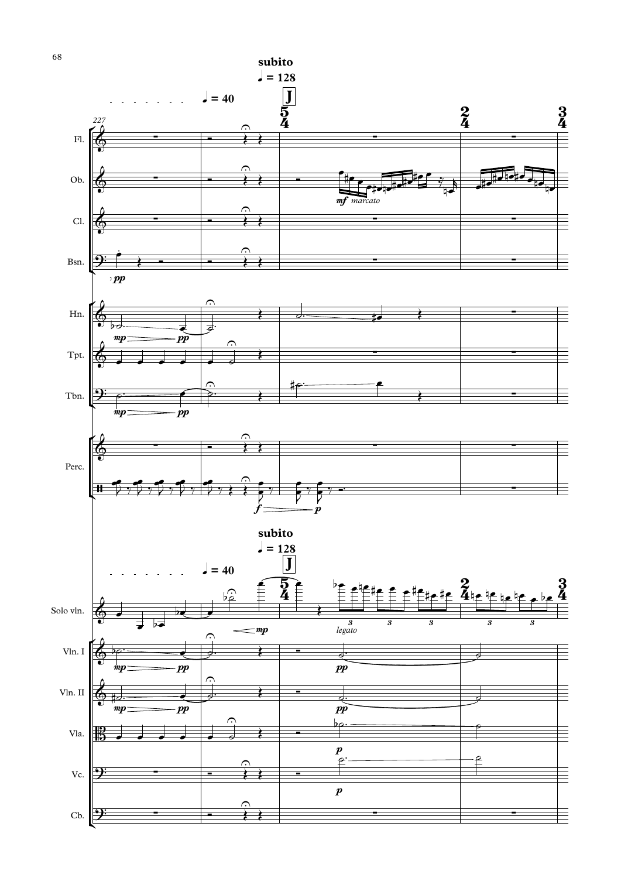

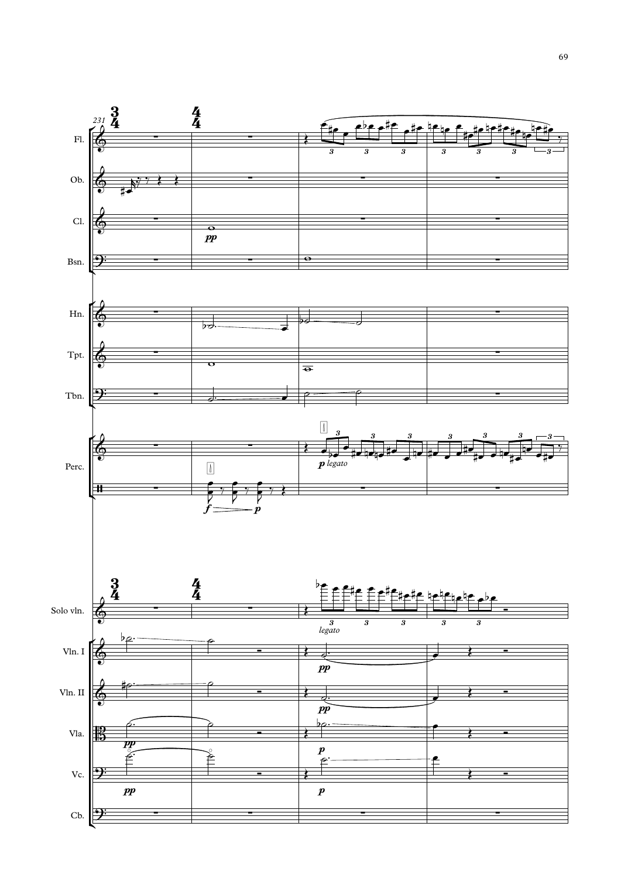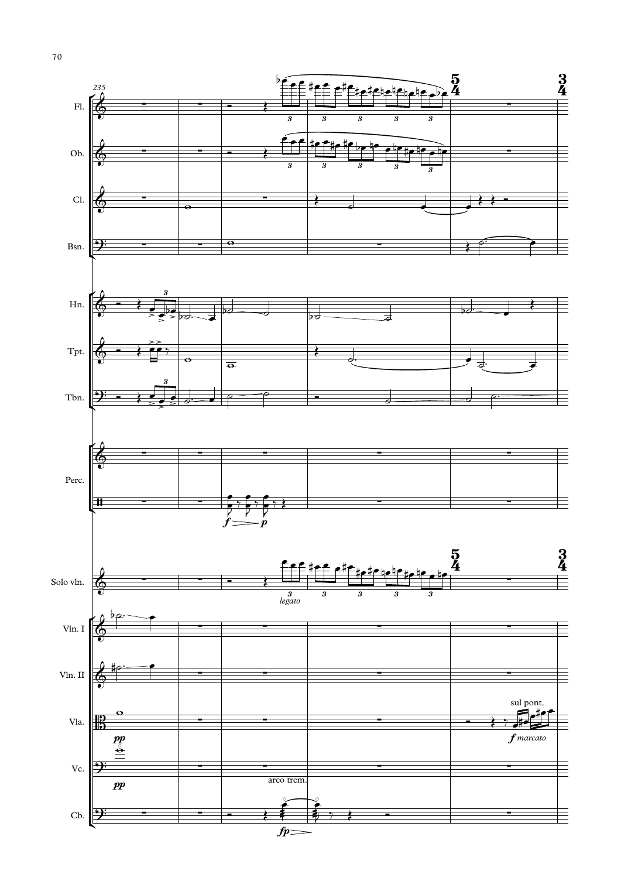

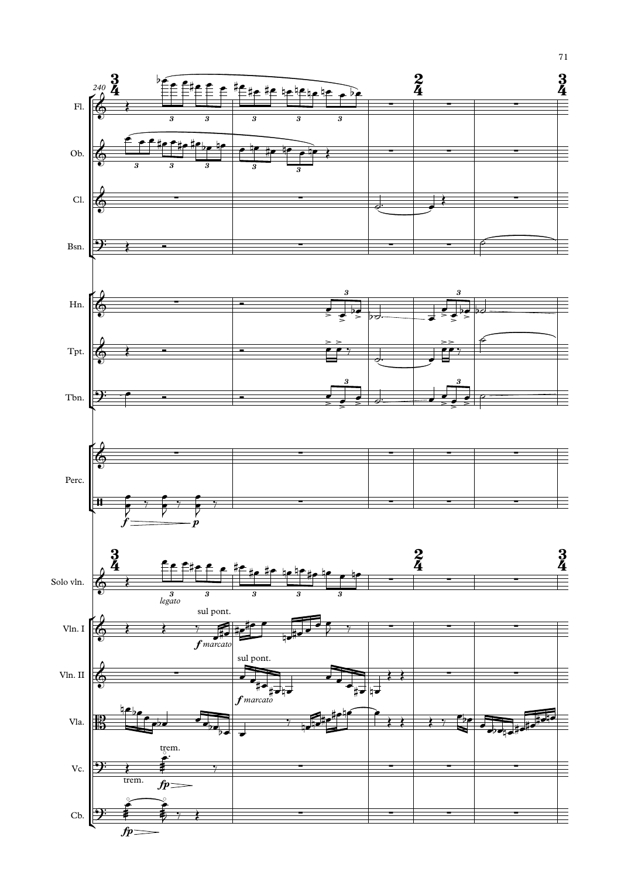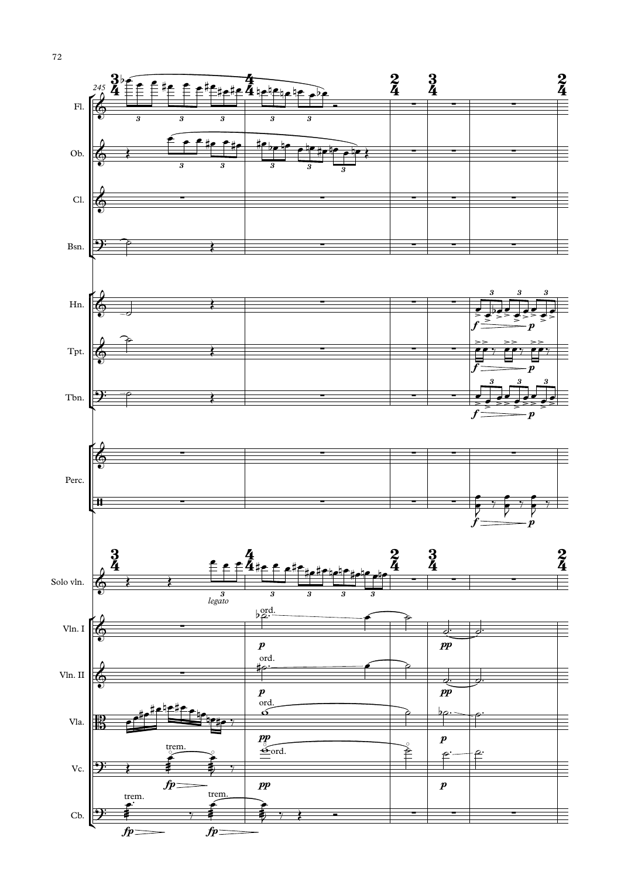

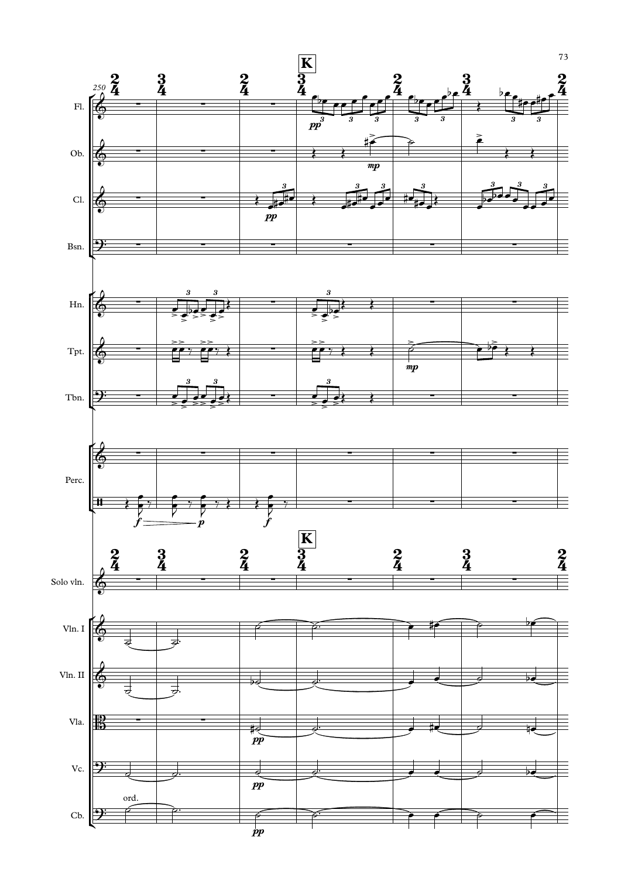

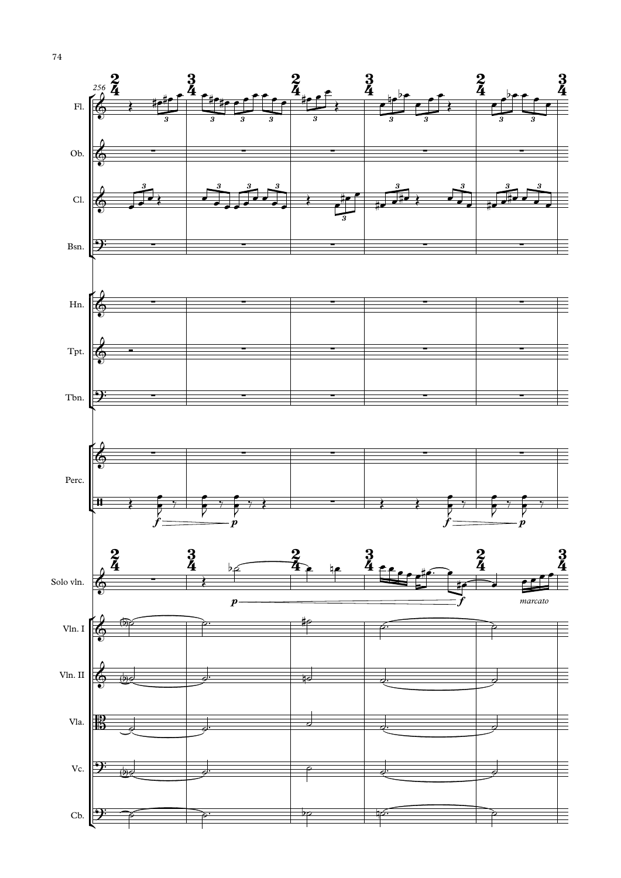

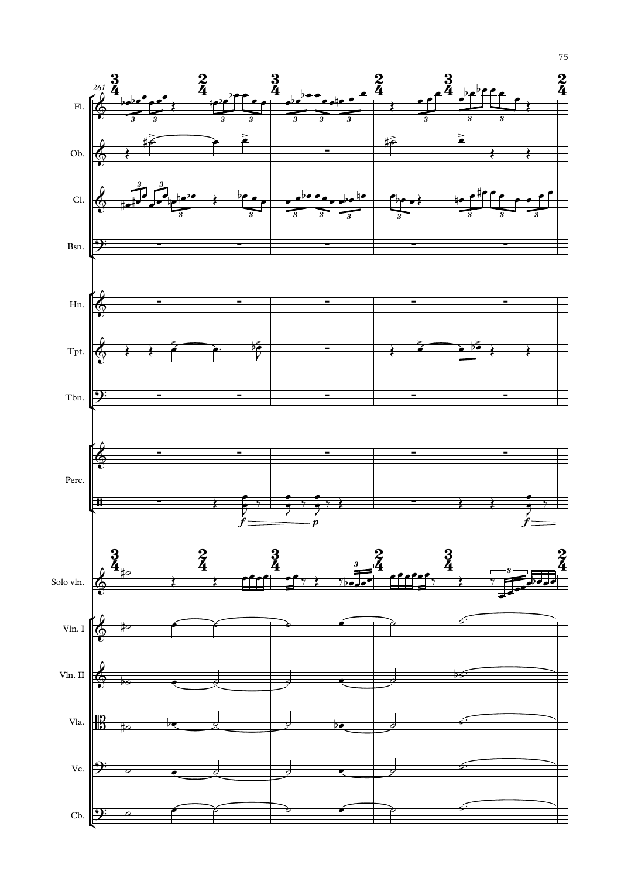

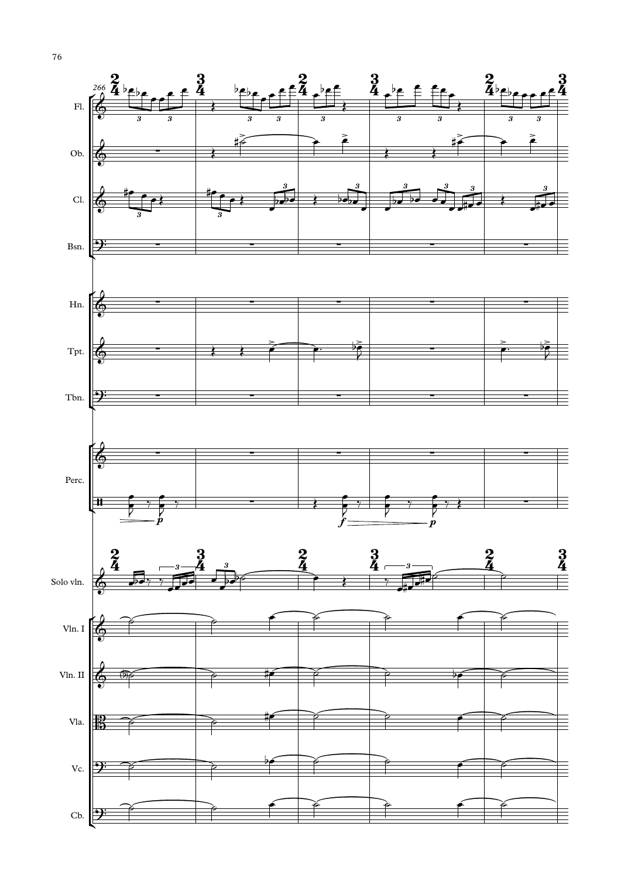

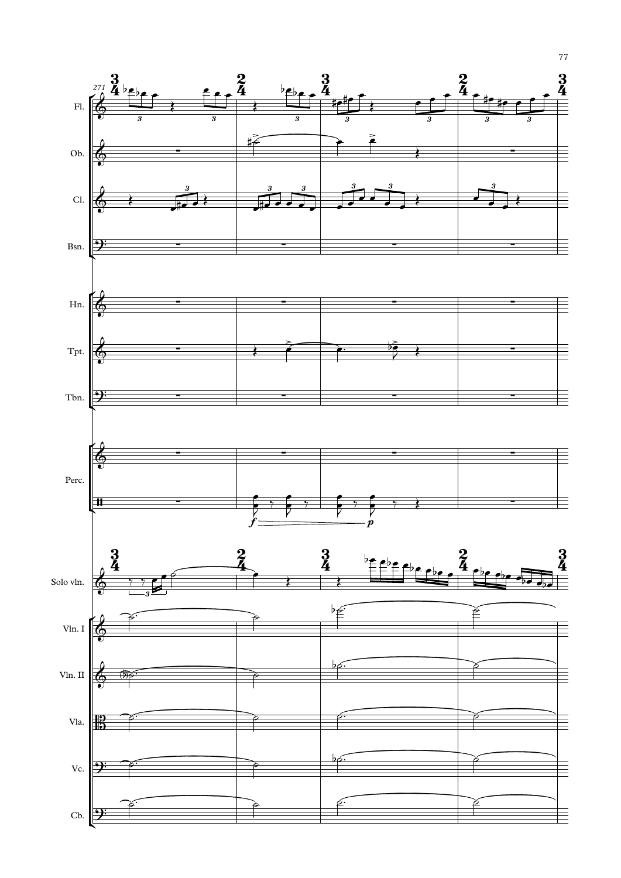

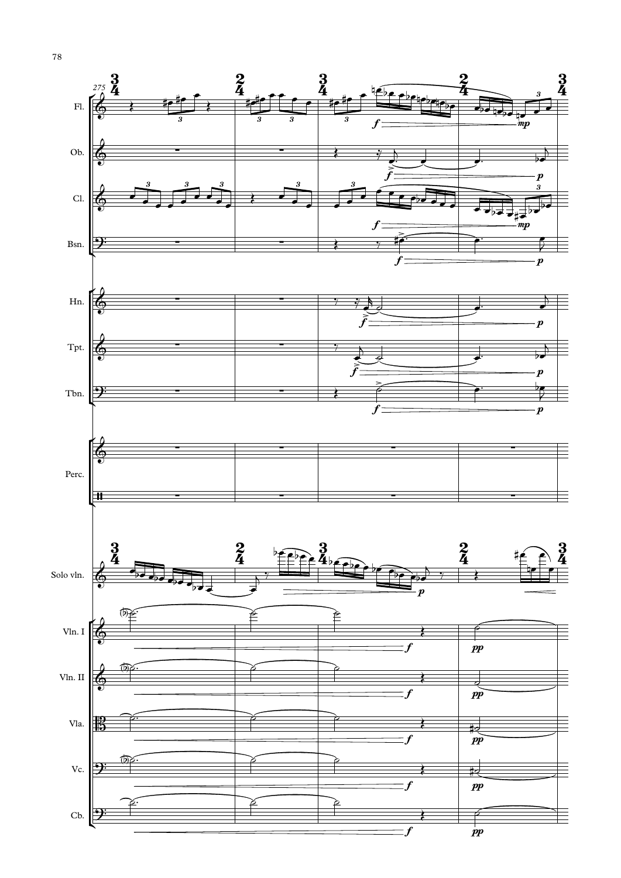

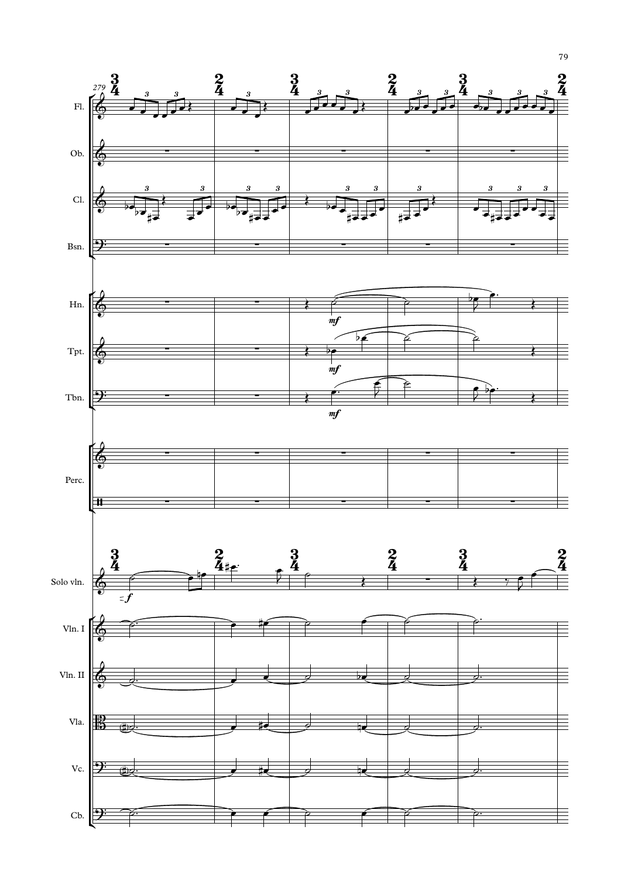

![](_page_79_Figure_2.jpeg)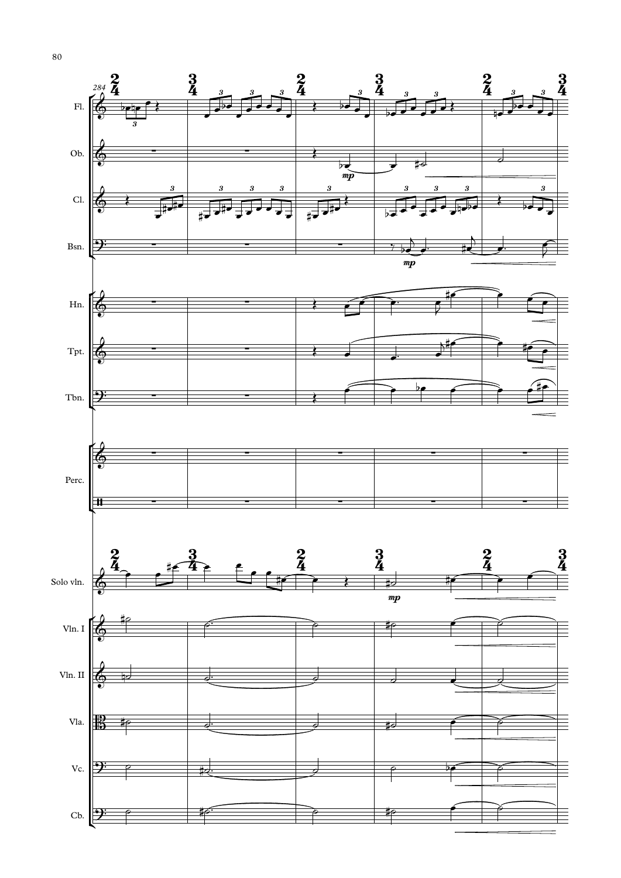![](_page_80_Figure_0.jpeg)

![](_page_80_Figure_2.jpeg)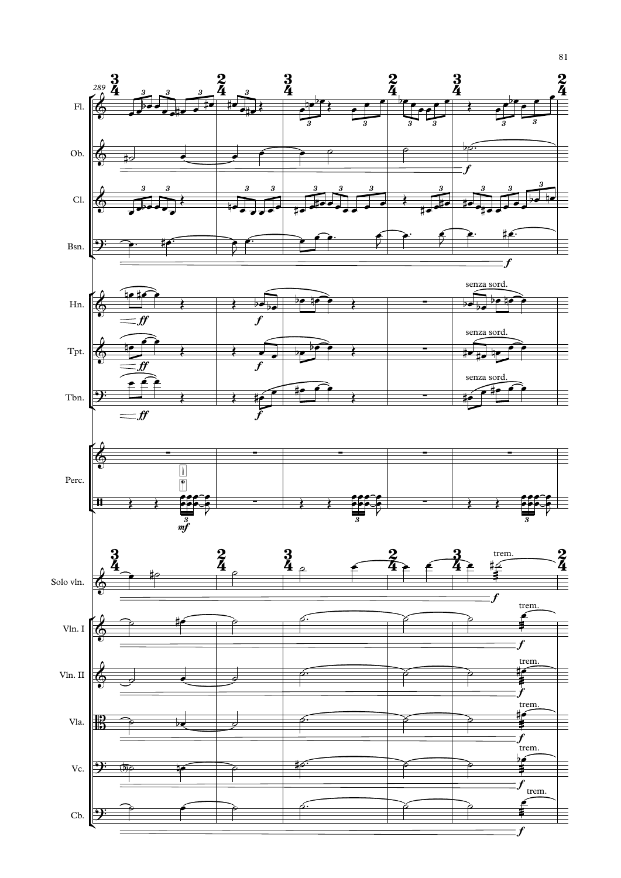![](_page_81_Figure_0.jpeg)

![](_page_81_Figure_2.jpeg)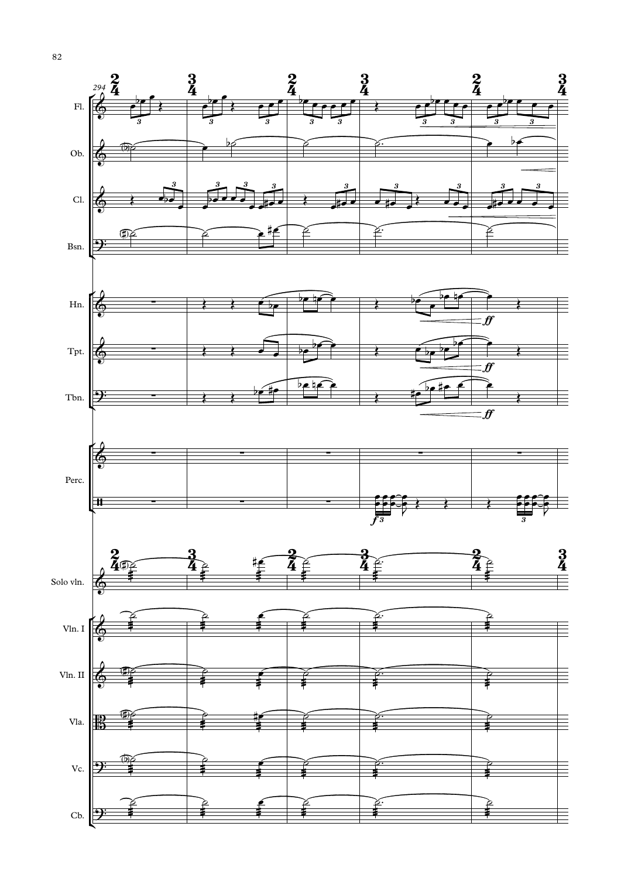![](_page_82_Figure_0.jpeg)

![](_page_82_Figure_2.jpeg)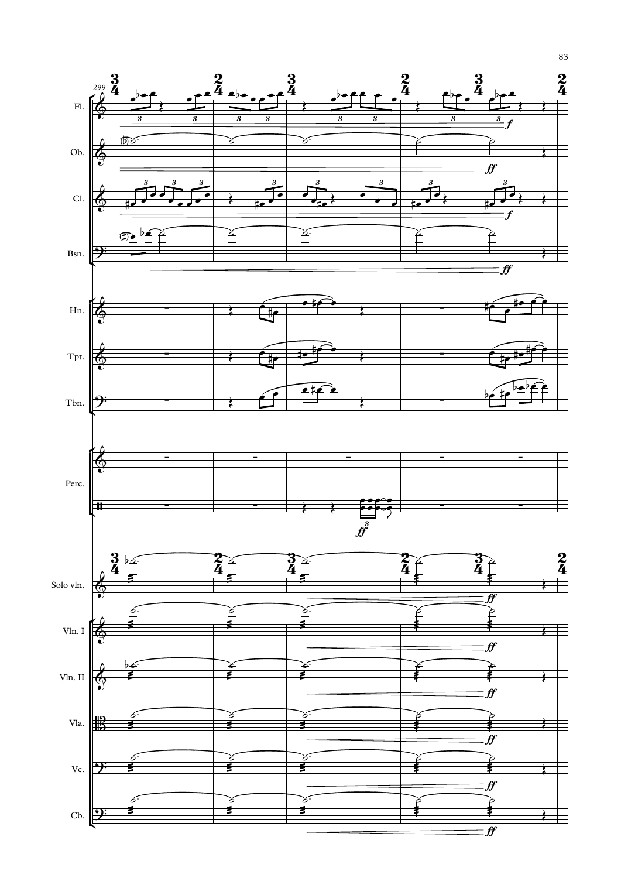![](_page_83_Figure_0.jpeg)

![](_page_83_Figure_2.jpeg)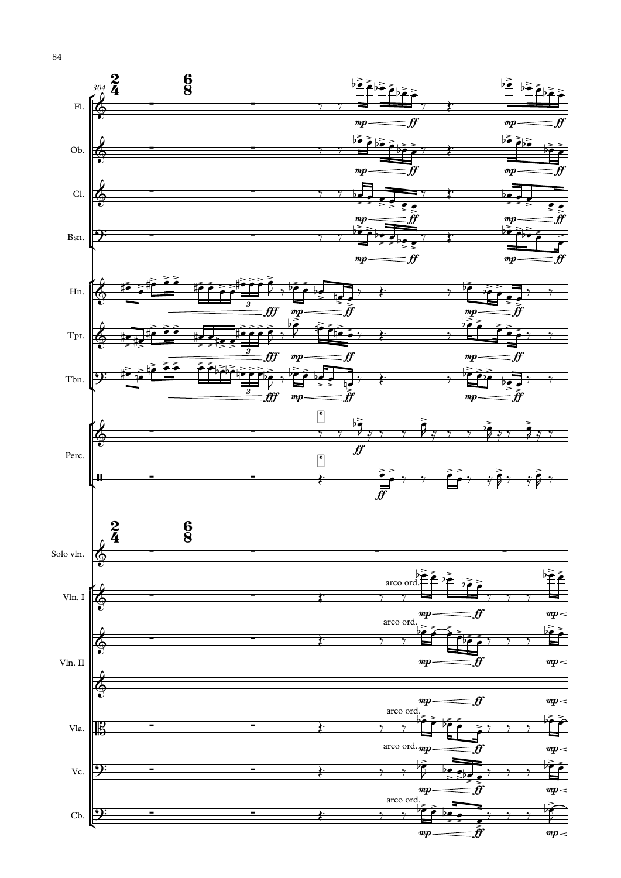![](_page_84_Figure_0.jpeg)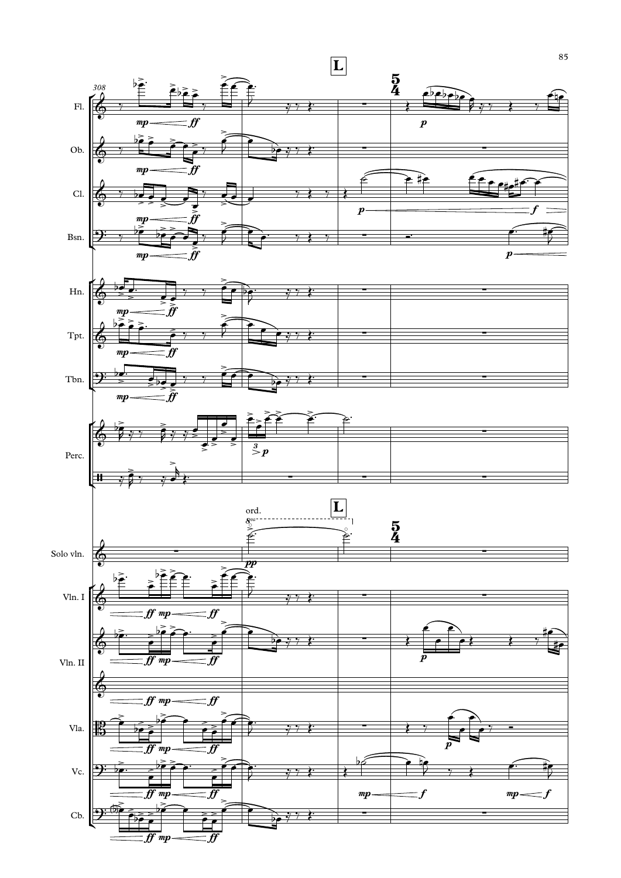![](_page_85_Figure_0.jpeg)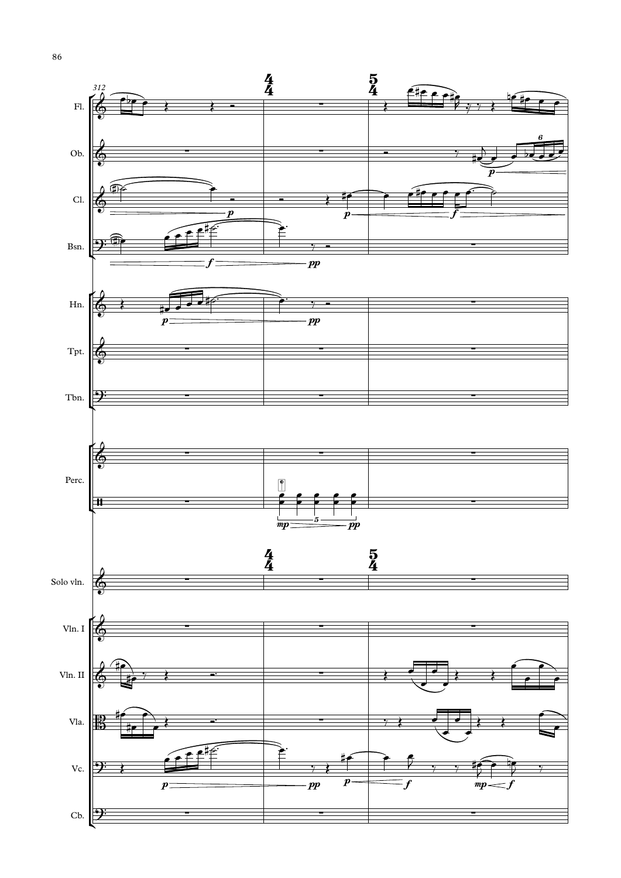![](_page_86_Figure_0.jpeg)

![](_page_86_Figure_2.jpeg)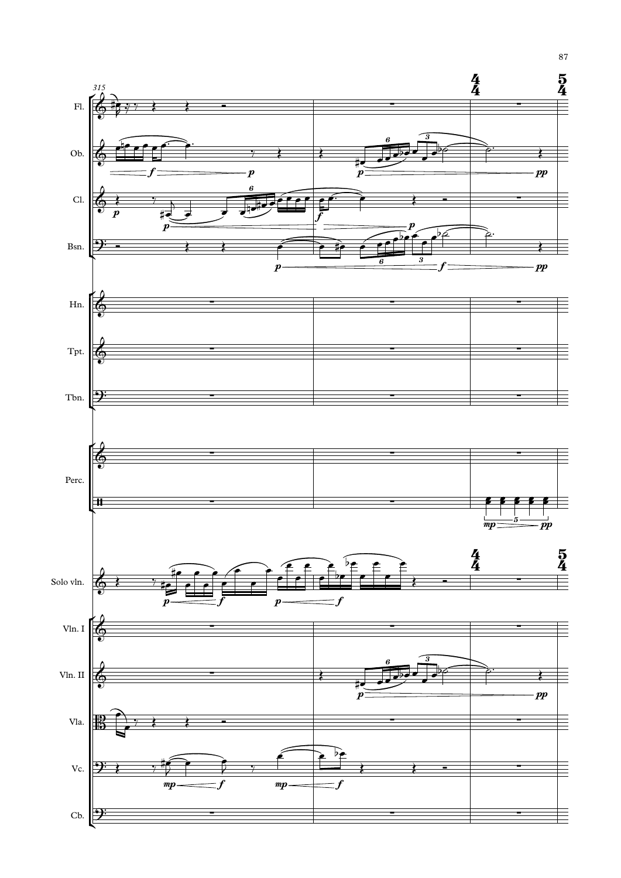![](_page_87_Figure_0.jpeg)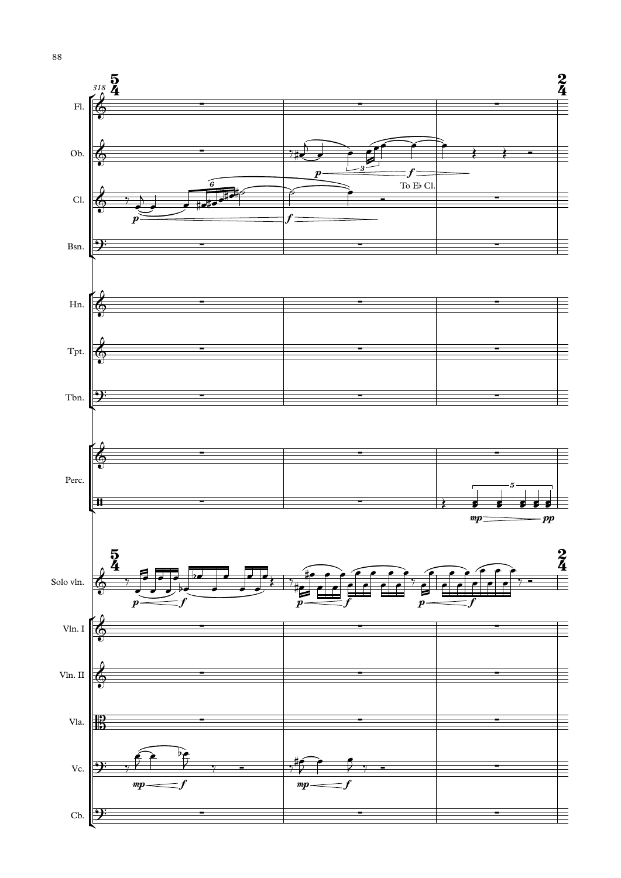![](_page_88_Figure_2.jpeg)

![](_page_88_Figure_0.jpeg)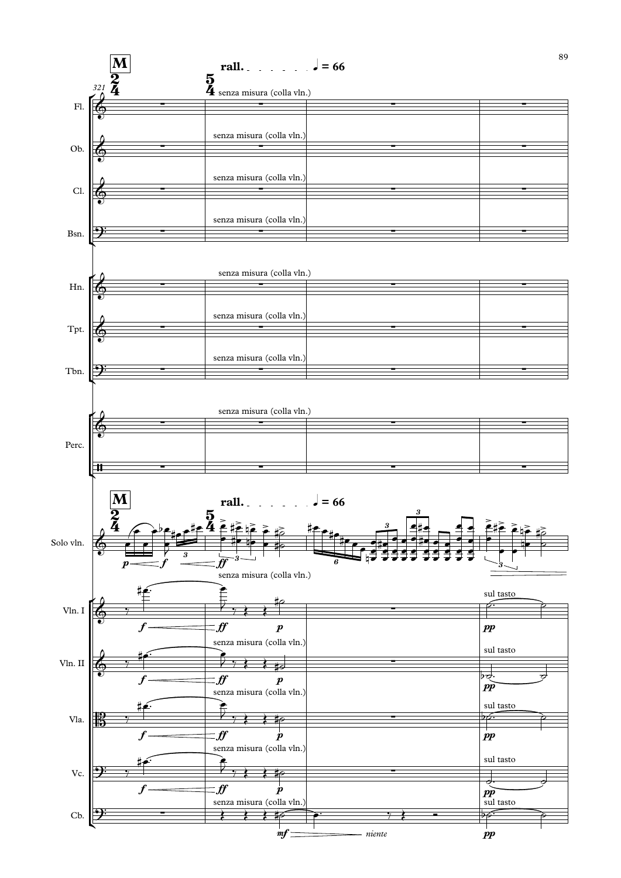![](_page_89_Figure_0.jpeg)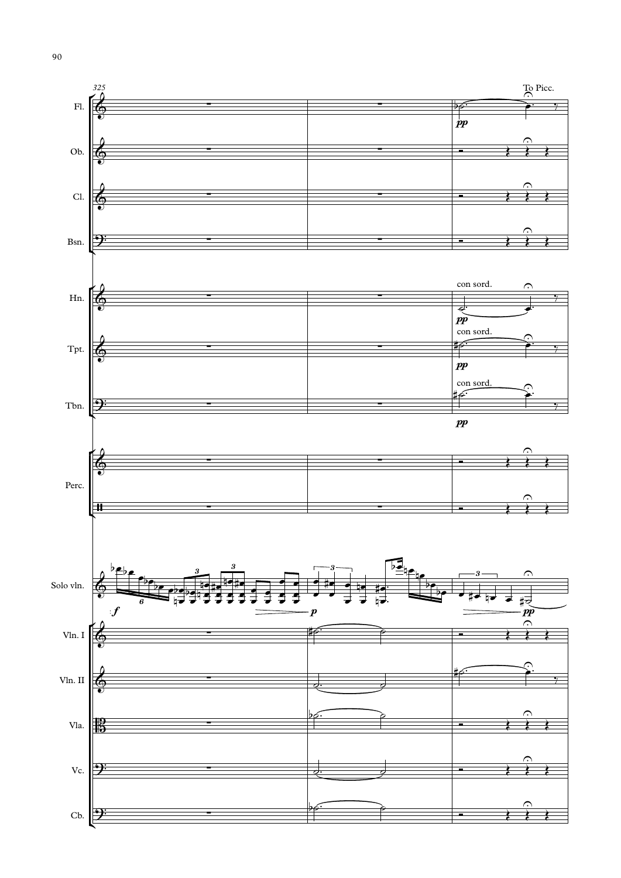![](_page_90_Figure_0.jpeg)

![](_page_90_Figure_2.jpeg)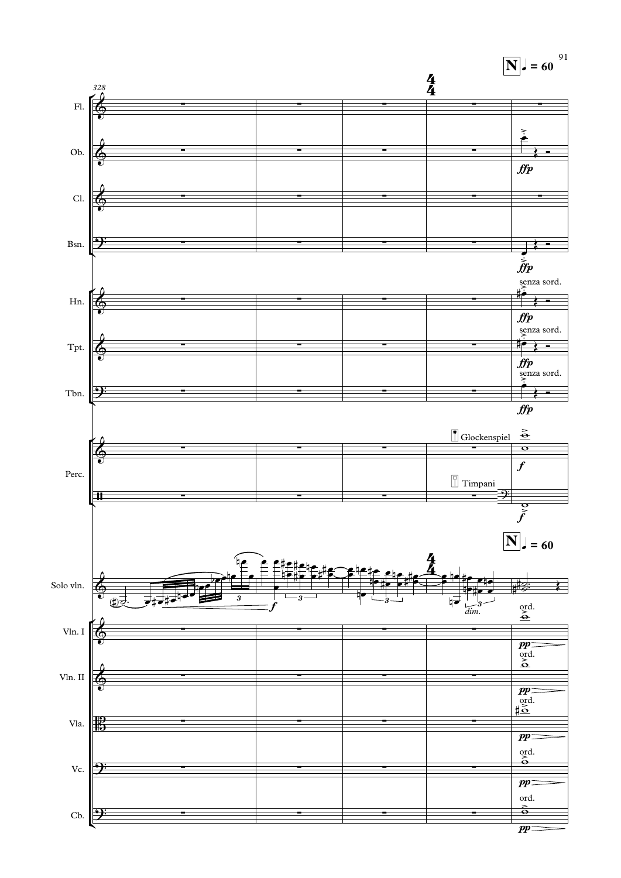![](_page_91_Figure_0.jpeg)

![](_page_91_Figure_2.jpeg)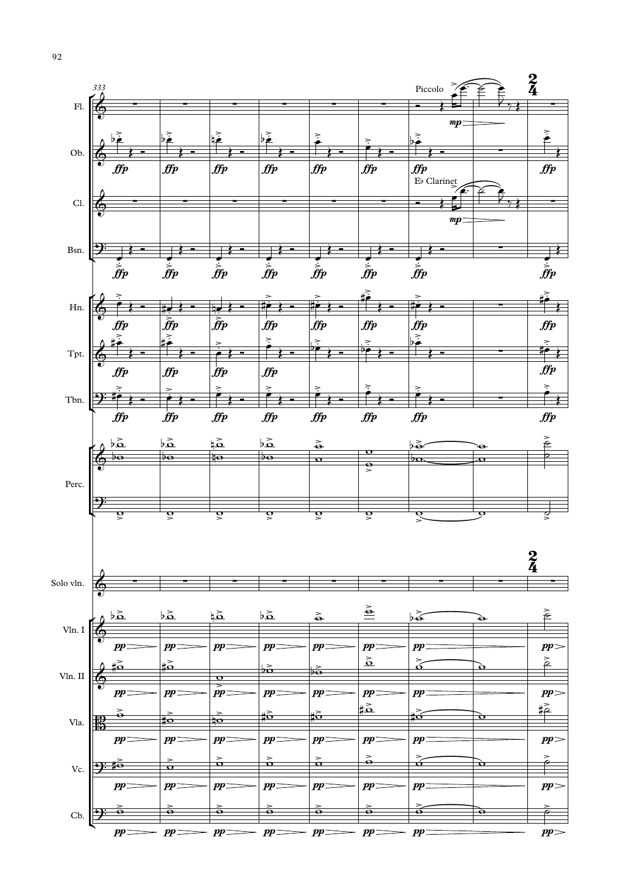![](_page_92_Figure_0.jpeg)

![](_page_92_Figure_2.jpeg)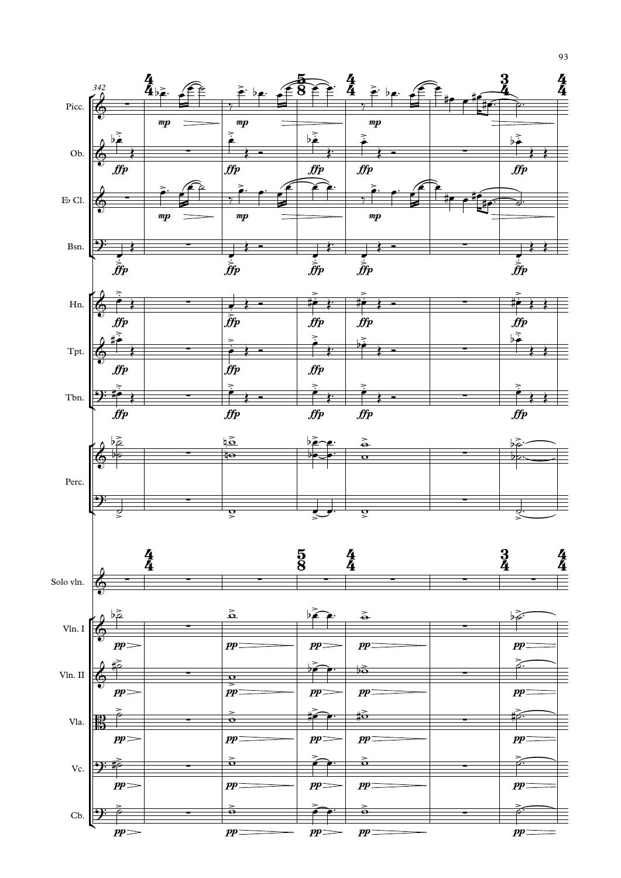![](_page_93_Figure_0.jpeg)

![](_page_93_Figure_2.jpeg)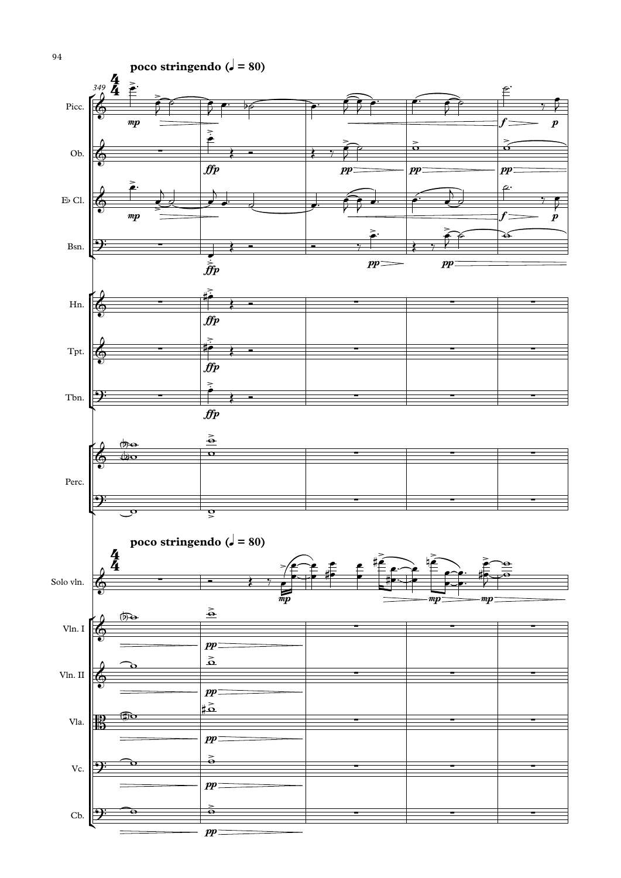![](_page_94_Figure_0.jpeg)

![](_page_94_Figure_2.jpeg)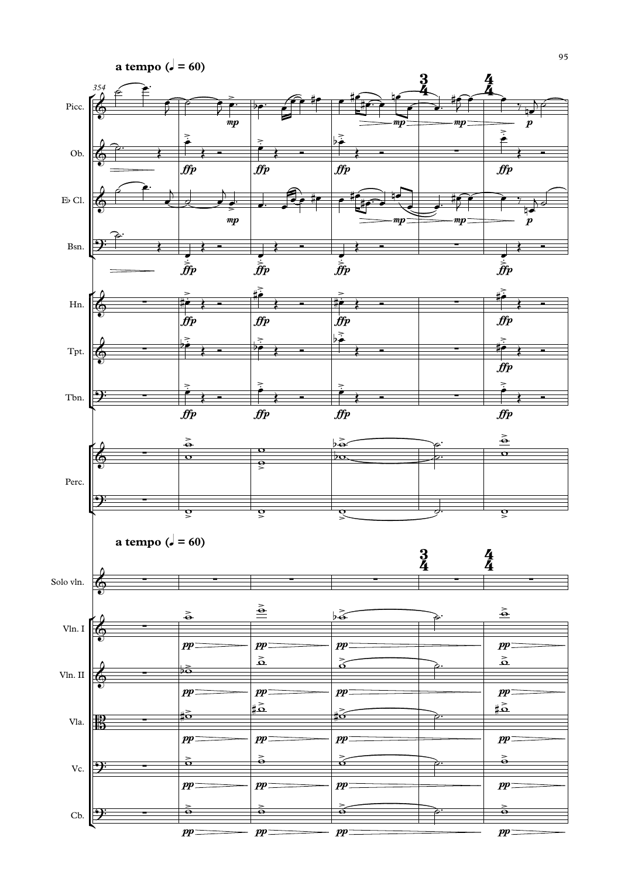![](_page_95_Figure_0.jpeg)

![](_page_95_Figure_1.jpeg)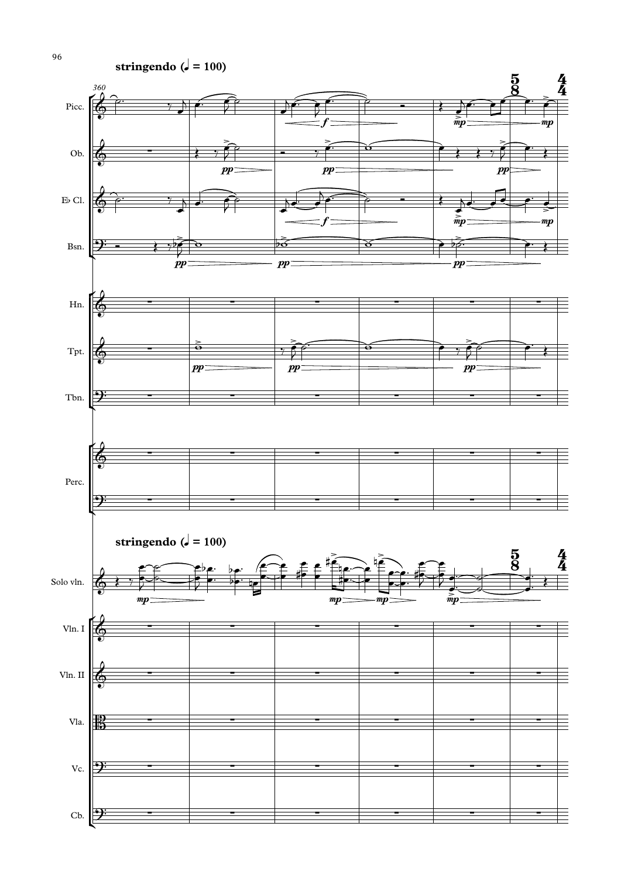![](_page_96_Figure_3.jpeg)

**stringendo**  $\left(\sqrt{ } = 100 \right)$ 

![](_page_96_Figure_1.jpeg)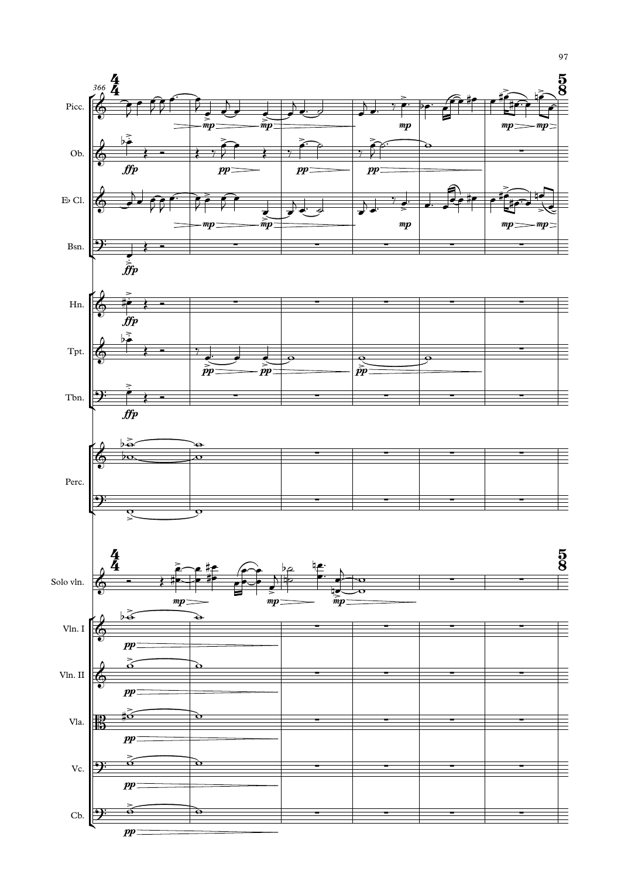![](_page_97_Figure_0.jpeg)

![](_page_97_Figure_2.jpeg)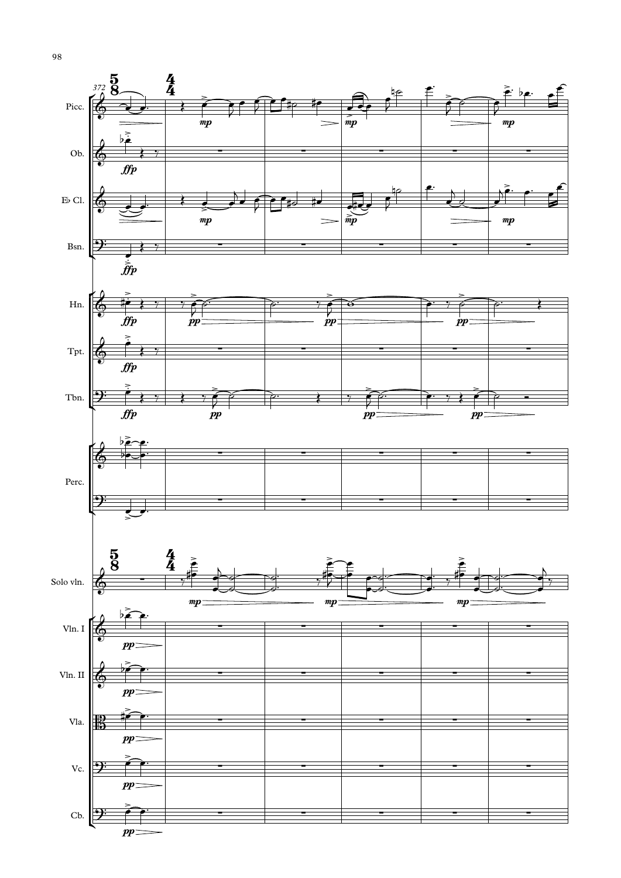![](_page_98_Figure_0.jpeg)

![](_page_98_Figure_2.jpeg)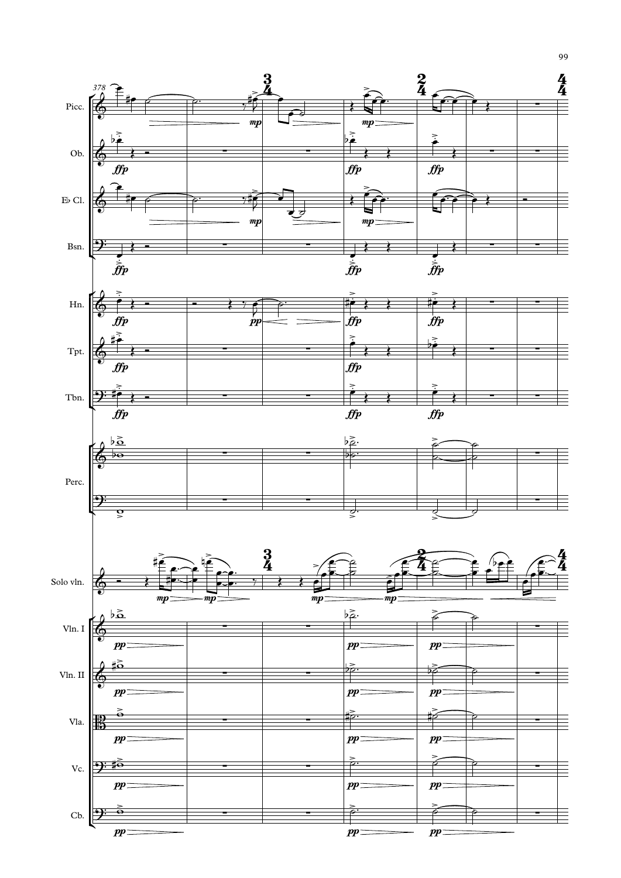![](_page_99_Figure_2.jpeg)

![](_page_99_Figure_0.jpeg)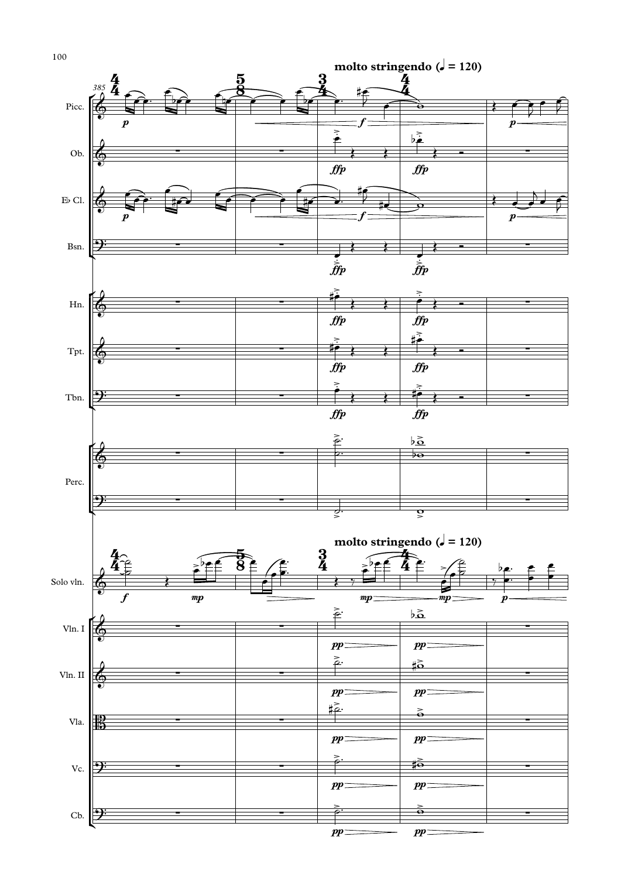![](_page_100_Figure_0.jpeg)

 $pp=$  $pp-$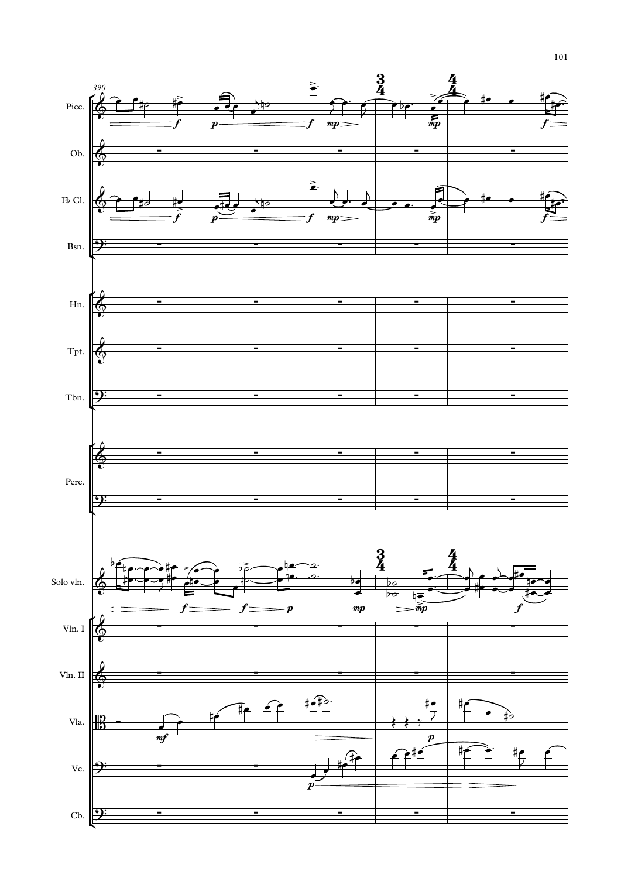![](_page_101_Figure_0.jpeg)

![](_page_101_Figure_2.jpeg)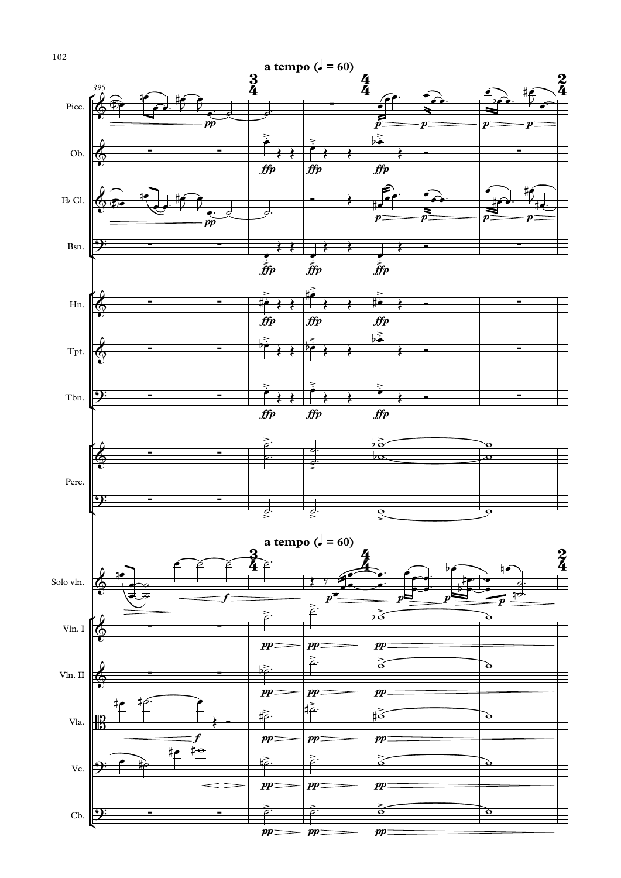![](_page_102_Figure_0.jpeg)

![](_page_102_Figure_2.jpeg)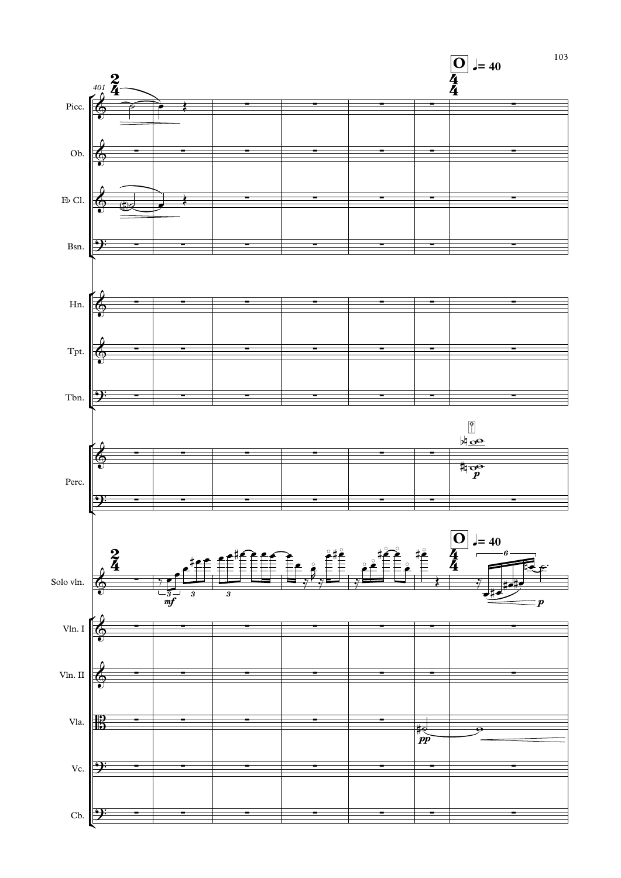![](_page_103_Figure_0.jpeg)

![](_page_103_Figure_1.jpeg)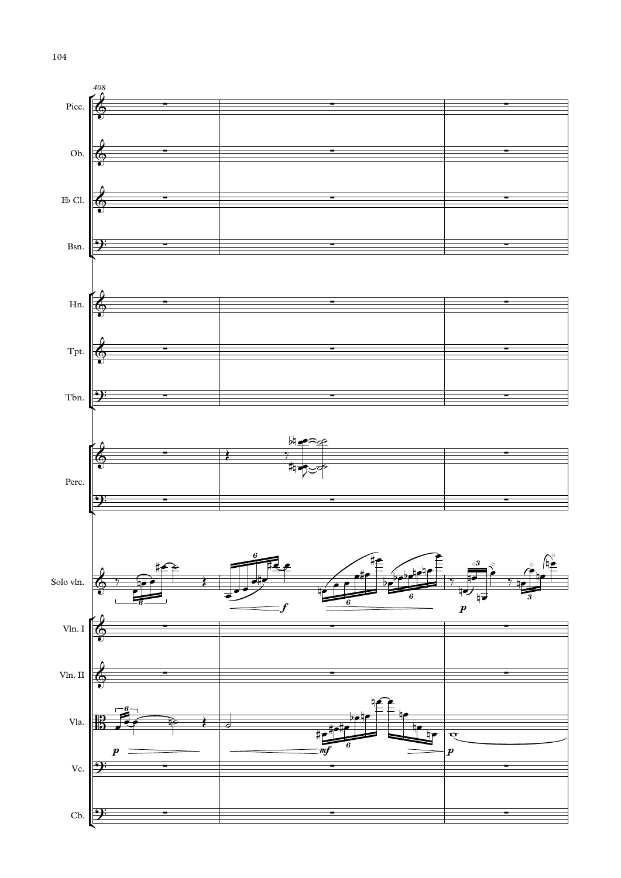![](_page_104_Figure_0.jpeg)

![](_page_104_Figure_2.jpeg)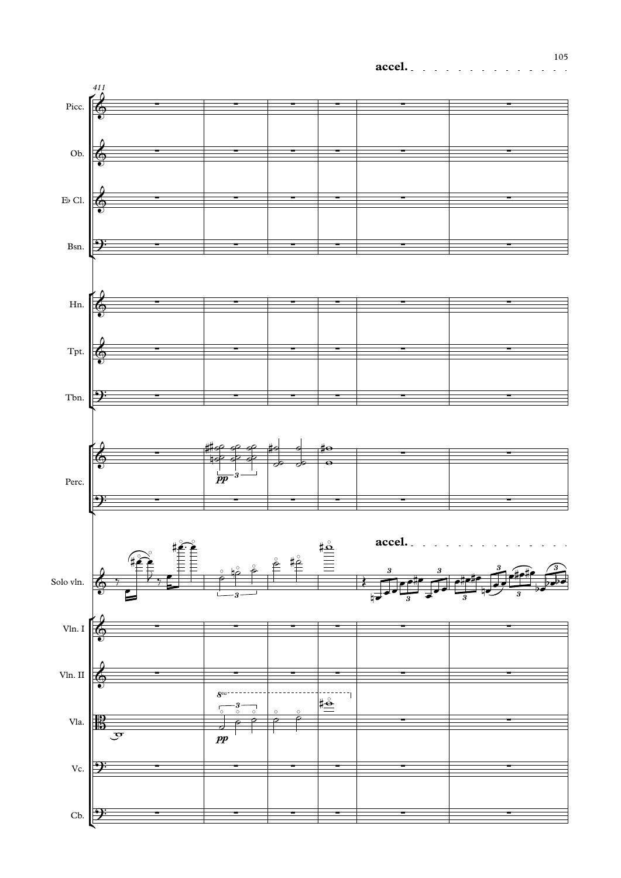**accel.**  $\sim$  $\omega_{\rm{max}}$ 

![](_page_105_Figure_1.jpeg)

![](_page_105_Figure_3.jpeg)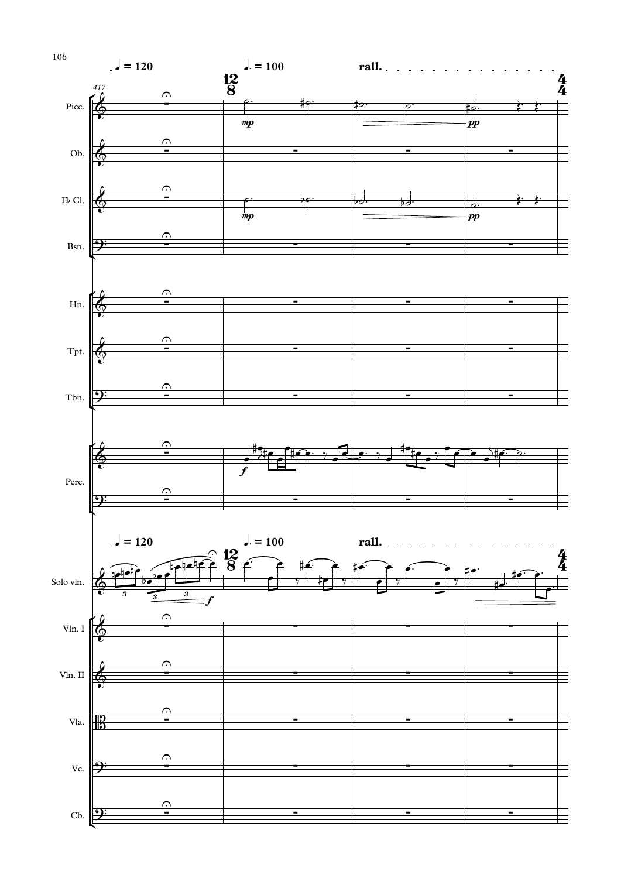![](_page_106_Figure_1.jpeg)

![](_page_106_Figure_0.jpeg)